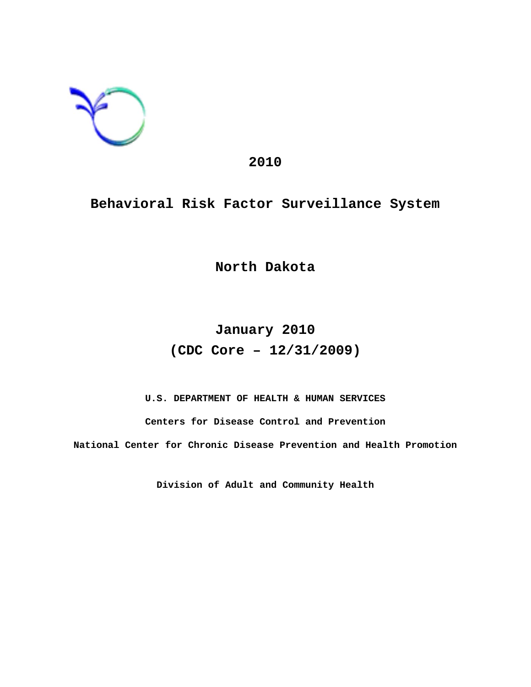

## **2010**

# **Behavioral Risk Factor Surveillance System**

**North Dakota**

# **January 2010 (CDC Core – 12/31/2009)**

**U.S. DEPARTMENT OF HEALTH & HUMAN SERVICES Centers for Disease Control and Prevention**

**National Center for Chronic Disease Prevention and Health Promotion**

**Division of Adult and Community Health**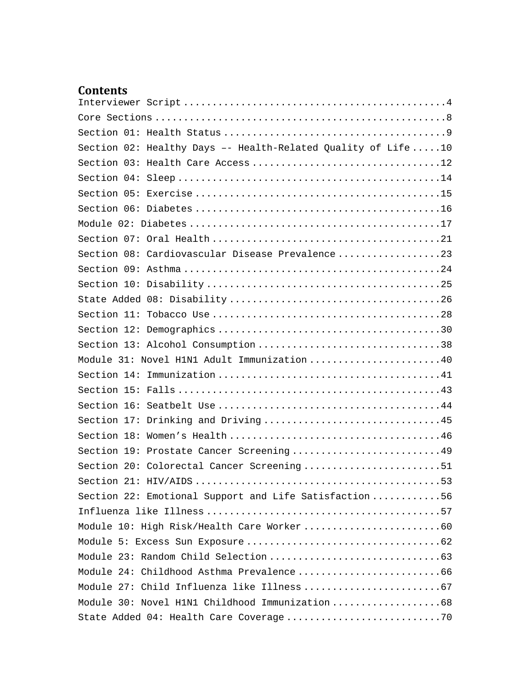# **Contents**

| Section 02: Healthy Days -- Health-Related Quality of Life  10 |
|----------------------------------------------------------------|
|                                                                |
|                                                                |
|                                                                |
|                                                                |
|                                                                |
|                                                                |
| Section 08: Cardiovascular Disease Prevalence23                |
|                                                                |
|                                                                |
|                                                                |
|                                                                |
|                                                                |
|                                                                |
| Module 31: Novel H1N1 Adult Immunization 40                    |
|                                                                |
|                                                                |
|                                                                |
| Section 17: Drinking and Driving 45                            |
|                                                                |
| Section 19: Prostate Cancer Screening49                        |
| Section 20: Colorectal Cancer Screening51                      |
|                                                                |
| Section 22: Emotional Support and Life Satisfaction 56         |
|                                                                |
|                                                                |
|                                                                |
|                                                                |
|                                                                |
|                                                                |
| Module 30: Novel H1N1 Childhood Immunization 68                |
|                                                                |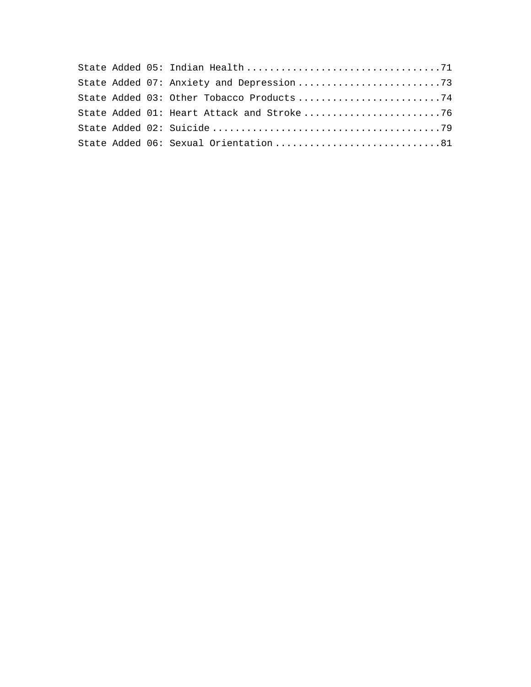|  | State Added 03: Other Tobacco Products 74 |  |
|--|-------------------------------------------|--|
|  |                                           |  |
|  |                                           |  |
|  | State Added 06: Sexual Orientation81      |  |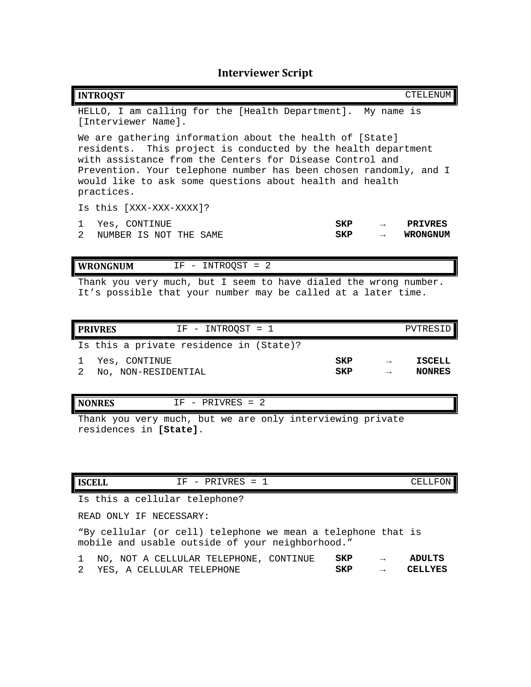# **Interviewer Script**

<span id="page-4-0"></span>

| <b>INTROQST</b>                                                                                                                                                                                                                                                                                                                      |     |               | CTELENUM        |  |  |
|--------------------------------------------------------------------------------------------------------------------------------------------------------------------------------------------------------------------------------------------------------------------------------------------------------------------------------------|-----|---------------|-----------------|--|--|
| HELLO, I am calling for the [Health Department]. My name is<br>[Interviewer Name].                                                                                                                                                                                                                                                   |     |               |                 |  |  |
| We are gathering information about the health of [State]<br>residents. This project is conducted by the health department<br>with assistance from the Centers for Disease Control and<br>Prevention. Your telephone number has been chosen randomly, and I<br>would like to ask some questions about health and health<br>practices. |     |               |                 |  |  |
| Is this [XXX-XXX-XXXX]?                                                                                                                                                                                                                                                                                                              |     |               |                 |  |  |
| Yes, CONTINUE<br>1.                                                                                                                                                                                                                                                                                                                  | SKP | $\rightarrow$ | <b>PRTVRES</b>  |  |  |
| $\overline{2}$<br>NUMBER IS NOT THE SAME                                                                                                                                                                                                                                                                                             | SKP | $\rightarrow$ | <b>WRONGNUM</b> |  |  |
|                                                                                                                                                                                                                                                                                                                                      |     |               |                 |  |  |
| IF - INTROQST = 2<br>WRONGNUM                                                                                                                                                                                                                                                                                                        |     |               |                 |  |  |
| Thank you very much, but I seem to have dialed the wrong number.<br>It's possible that your number may be called at a later time.                                                                                                                                                                                                    |     |               |                 |  |  |

| $IF - INTROOST = 1$<br><b>PRIVRES</b>   |                          | PVTRESID                       |
|-----------------------------------------|--------------------------|--------------------------------|
| Is this a private residence in (State)? |                          |                                |
| 1 Yes, CONTINUE<br>No, NON-RESIDENTIAL  | <b>SKP</b><br><b>SKP</b> | <b>ISCELL</b><br><b>NONRES</b> |

### **NONRES** IF - PRIVRES = 2

Thank you very much, but we are only interviewing private residences in **[State]**.

| <b>ISCELL</b> | $ -$<br>-----<br>PRIVRES<br>-<br>-<br>- | $- - -$<br>_____<br>ET C<br>.<br>'UN<br>п.<br>ᅩᅭᅭᅭ |
|---------------|-----------------------------------------|----------------------------------------------------|

Is this a cellular telephone?

READ ONLY IF NECESSARY:

"By cellular (or cell) telephone we mean a telephone that is mobile and usable outside of your neighborhood."

|  |  |  | 1 NO, NOT A CELLULAR TELEPHONE, CONTINUE SKP |     | $\rightarrow$ | ADULTS                |
|--|--|--|----------------------------------------------|-----|---------------|-----------------------|
|  |  |  | 2 YES, A CELLULAR TELEPHONE                  | SKP |               | $\rightarrow$ CELLYES |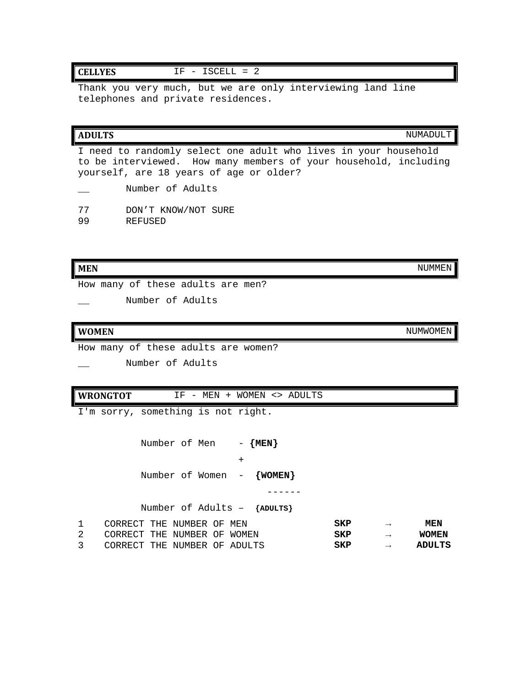### **CELLYES** IF - ISCELL = 2

Thank you very much, but we are only interviewing land line telephones and private residences.

| <b>ADULTS</b>                                                                                                                                                                  | NUMADULT |
|--------------------------------------------------------------------------------------------------------------------------------------------------------------------------------|----------|
| I need to randomly select one adult who lives in your household<br>to be interviewed. How many members of your household, including<br>yourself, are 18 years of age or older? |          |
| Number of Adults                                                                                                                                                               |          |
| 77<br>DON'T KNOW/NOT SURE<br>99<br>REFUSED                                                                                                                                     |          |
| MEN                                                                                                                                                                            | NUMMEN   |

How many of these adults are men?

Number of Adults

#### **WOMEN** NUMWOMEN

How many of these adults are women?

Number of Adults

**WRONGTOT** IF - MEN + WOMEN <> ADULTS

I'm sorry, something is not right.

Number of Men - {MEN} + Number of Women - **{WOMEN}** ------

Number of Adults – **{ADULTS}**

| CORRECT THE NUMBER OF MEN    |  |  | SKP | $\rightarrow$ | <b>MEN</b>   |
|------------------------------|--|--|-----|---------------|--------------|
| CORRECT THE NUMBER OF WOMEN  |  |  | SKP | $\rightarrow$ | <b>WOMEN</b> |
| CORRECT THE NUMBER OF ADULTS |  |  | SKP |               | ADULTS       |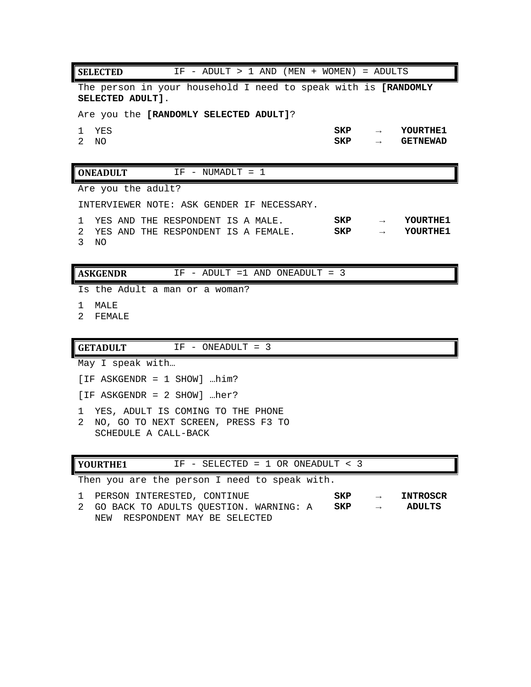**SELECTED** IF - ADULT > 1 AND (MEN + WOMEN) = ADULTS The person in your household I need to speak with is **[RANDOMLY SELECTED ADULT]**. Are you the **[RANDOMLY SELECTED ADULT]**? 1 YES **SKP → YOURTHE1** 2 NO **SKP → GETNEWAD ONEADULT** IF - NUMADLT = 1 Are you the adult? INTERVIEWER NOTE: ASK GENDER IF NECESSARY. 1 YES AND THE RESPONDENT IS A MALE. **SKP → YOURTHE1** 2 YES AND THE RESPONDENT IS A FEMALE. 3 NO **ASKGENDR** IF - ADULT =1 AND ONEADULT = 3 Is the Adult a man or a woman? 1 MALE 2 FEMALE GETADULT IF - ONEADULT = 3

May I speak with…

[IF ASKGENDR = 1 SHOW] …him?

[IF ASKGENDR = 2 SHOW] …her?

1 YES, ADULT IS COMING TO THE PHONE

2 NO, GO TO NEXT SCREEN, PRESS F3 TO SCHEDULE A CALL-BACK

| YOURTHE1 |  | IF - SELECTED = $1$ OR ONEADULT < $3$ |  |
|----------|--|---------------------------------------|--|
|----------|--|---------------------------------------|--|

Then you are the person I need to speak with.

| 1 PERSON INTERESTED, CONTINUE            | SKP |               | INTROSCR |
|------------------------------------------|-----|---------------|----------|
| 2 GO BACK TO ADULTS OUESTION. WARNING: A | SKP | $\rightarrow$ | ADULTS   |
| NEW RESPONDENT MAY BE SELECTED           |     |               |          |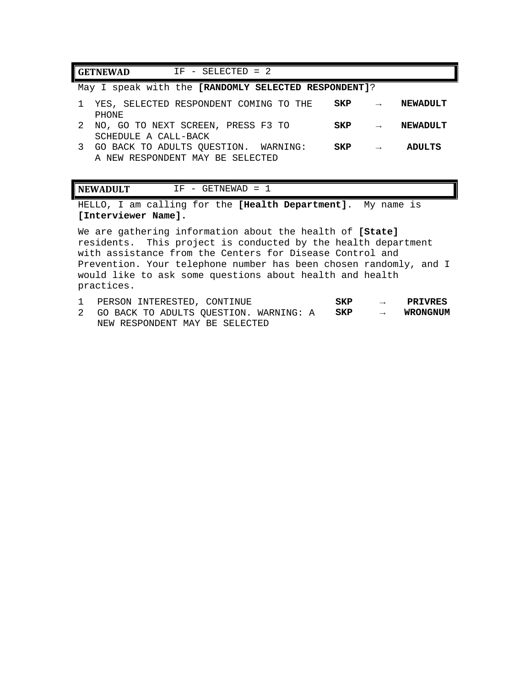| $IF - SELECTED = 2$<br><b>GETNEWAD</b>                                   |     |               |                 |
|--------------------------------------------------------------------------|-----|---------------|-----------------|
| May I speak with the [RANDOMLY SELECTED RESPONDENT]?                     |     |               |                 |
| YES, SELECTED RESPONDENT COMING TO THE<br>PHONE                          | SKP |               | <b>NEWADULT</b> |
| NO, GO TO NEXT SCREEN, PRESS F3 TO<br>SCHEDULE A CALL-BACK               | SKP | $\rightarrow$ | NEWADULT        |
| GO BACK TO ADULTS OUESTION. WARNING:<br>A NEW RESPONDENT MAY BE SELECTED | SKP | $\rightarrow$ | <b>ADULTS</b>   |

#### **NEWADULT** IF - GETNEWAD = 1

HELLO, I am calling for the **[Health Department]**. My name is **[Interviewer Name].** 

We are gathering information about the health of **[State]** residents. This project is conducted by the health department with assistance from the Centers for Disease Control and Prevention. Your telephone number has been chosen randomly, and I would like to ask some questions about health and health practices.

| PERSON INTERESTED, CONTINUE                                                            | SKP | $\rightarrow$ PRIVRES |
|----------------------------------------------------------------------------------------|-----|-----------------------|
| 2 GO BACK TO ADULTS OUESTION. WARNING: A $\overrightarrow{SKP}$ $\rightarrow$ WRONGNUM |     |                       |
| NEW RESPONDENT MAY BE SELECTED                                                         |     |                       |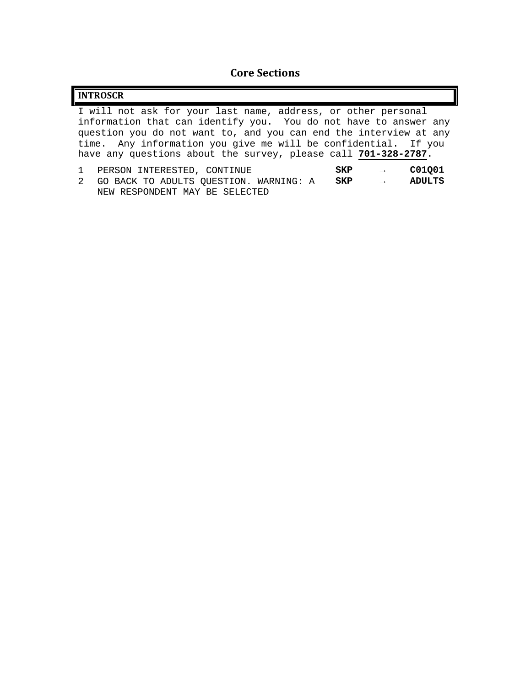## **Core Sections**

<span id="page-8-0"></span>

| <b>INTROSCR</b>                                                                                                                                                                                                                                                                                                                            |
|--------------------------------------------------------------------------------------------------------------------------------------------------------------------------------------------------------------------------------------------------------------------------------------------------------------------------------------------|
| I will not ask for your last name, address, or other personal<br>information that can identify you. You do not have to answer any<br>question you do not want to, and you can end the interview at any<br>time. Any information you give me will be confidential. If you<br>have any questions about the survey, please call 701-328-2787. |
| C01001<br>PERSON INTERESTED, CONTINUE<br><b>SKP</b><br>$\rightarrow$<br><b>ADULTS</b><br>GO BACK TO ADULTS QUESTION. WARNING: A SKP $\rightarrow$<br>2<br>NEW RESPONDENT MAY BE SELECTED                                                                                                                                                   |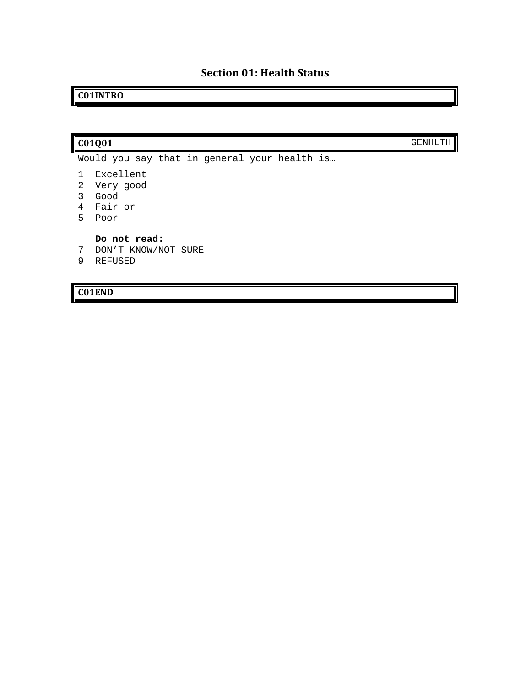## <span id="page-9-0"></span>**C01INTRO**

### **C01Q01** GENHLTH

- Would you say that in general your health is…
- 1 Excellent
- 2 Very good
- 3 Good
- 4 Fair or
- 5 Poor

**Do not read:**

- 7 DON'T KNOW/NOT SURE
- 9 REFUSED

**C01END**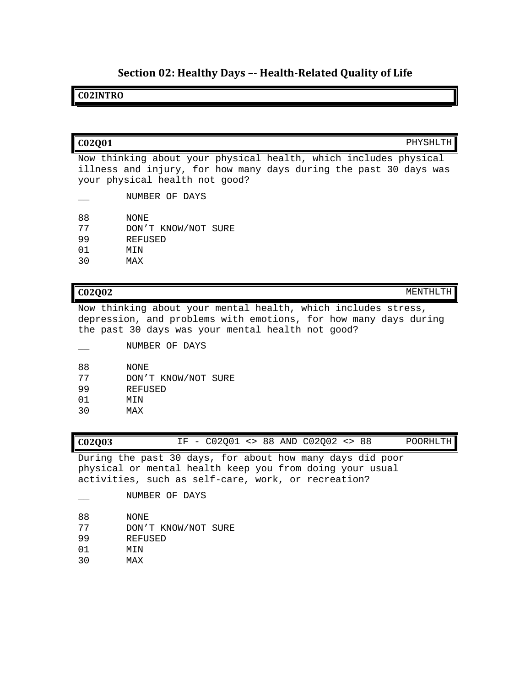## **Section 02: Healthy Days –- Health-Related Quality of Life**

### <span id="page-10-0"></span>**C02INTRO**

| C02001<br>PHYSHLTH                                                                                                                                                      |
|-------------------------------------------------------------------------------------------------------------------------------------------------------------------------|
| Now thinking about your physical health, which includes physical<br>illness and injury, for how many days during the past 30 days was<br>your physical health not good? |
| NUMBER OF DAYS                                                                                                                                                          |

- 88 NONE<br>77 DON'' 77 DON'T KNOW/NOT SURE
- 
- 99 REFUSED
- 01 MIN<br>30 MAX MAX

**C02Q02** MENTHLTH

Now thinking about your mental health, which includes stress, depression, and problems with emotions, for how many days during the past 30 days was your mental health not good?

\_\_ NUMBER OF DAYS 88 NONE<br>77 DON'' 77 DON'T KNOW/NOT SURE 99 REFUSED 01 MIN<br>30 MAX MAX

| IF - C02Q01 <> 88 AND C02Q02 <> 88<br>C02Q03 |  |  |  |  |  |  | POORHLTH |
|----------------------------------------------|--|--|--|--|--|--|----------|
|----------------------------------------------|--|--|--|--|--|--|----------|

During the past 30 days, for about how many days did poor physical or mental health keep you from doing your usual activities, such as self-care, work, or recreation?

- NUMBER OF DAYS
- 88 NONE<br>77 DON''
- 77 DON'T KNOW/NOT SURE<br>99 REFUSED
- 99 REFUSED
- 01 MIN<br>30 MAX
- MAX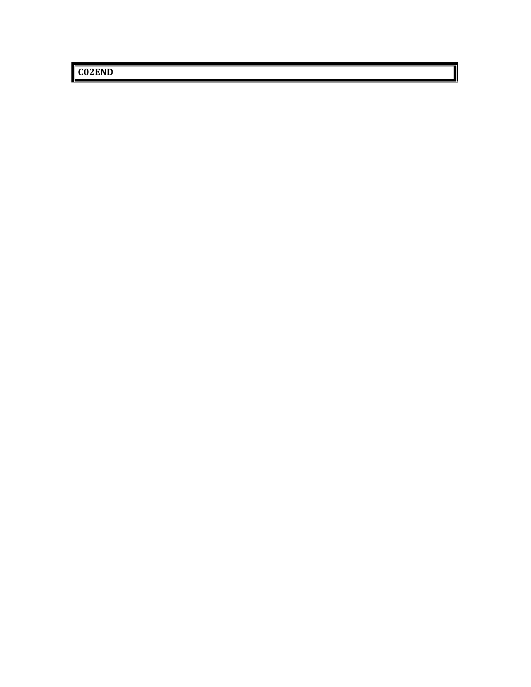**C02END**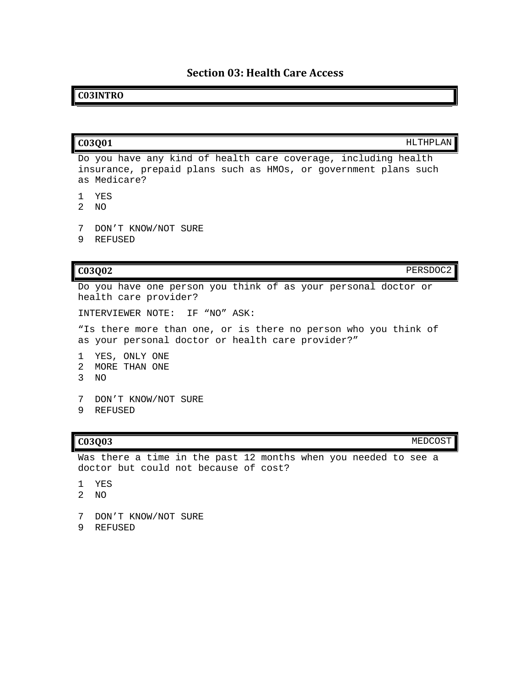### **Section 03: Health Care Access**

### <span id="page-12-0"></span>**C03INTRO**

**C03Q01** HLTHPLAN

Do you have any kind of health care coverage, including health insurance, prepaid plans such as HMOs, or government plans such as Medicare?

- 1 YES
- 2 NO
- 7 DON'T KNOW/NOT SURE
- 9 REFUSED

**C03Q02** PERSDOC2

Do you have one person you think of as your personal doctor or health care provider?

INTERVIEWER NOTE: IF "NO" ASK:

"Is there more than one, or is there no person who you think of as your personal doctor or health care provider?"

- 1 YES, ONLY ONE
- 2 MORE THAN ONE
- 3 NO
- 7 DON'T KNOW/NOT SURE
- 9 REFUSED

**C03Q03** MEDCOST

Was there a time in the past 12 months when you needed to see a doctor but could not because of cost?

- 1 YES
- 2 NO
- 7 DON'T KNOW/NOT SURE
- 9 REFUSED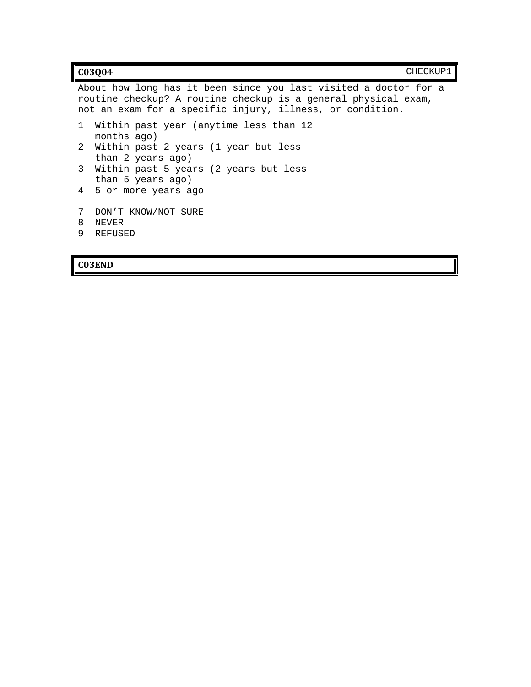|              | C03004                                                                                                                                                                                          | CHECKUP1 |  |
|--------------|-------------------------------------------------------------------------------------------------------------------------------------------------------------------------------------------------|----------|--|
|              | About how long has it been since you last visited a doctor for a<br>routine checkup? A routine checkup is a general physical exam,<br>not an exam for a specific injury, illness, or condition. |          |  |
| $\mathbf{1}$ | Within past year (anytime less than 12<br>months ago)                                                                                                                                           |          |  |
| 2            | Within past 2 years (1 year but less<br>than 2 years ago)                                                                                                                                       |          |  |
| 3            | Within past 5 years (2 years but less<br>than 5 years ago)                                                                                                                                      |          |  |
|              | 4 5 or more years ago                                                                                                                                                                           |          |  |
| 7<br>8<br>9  | DON'T KNOW/NOT SURE<br><b>NEVER</b><br>REFUSED                                                                                                                                                  |          |  |

## **C03END**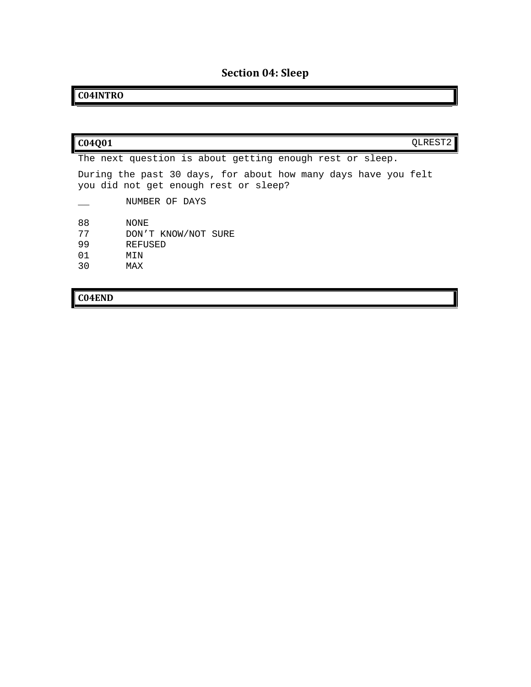# **Section 04: Sleep**

# <span id="page-14-0"></span>**C04INTRO**

| 04001 |                                                                                                         | OLREST2 |
|-------|---------------------------------------------------------------------------------------------------------|---------|
|       | The next question is about getting enough rest or sleep.                                                |         |
|       | During the past 30 days, for about how many days have you felt<br>you did not get enough rest or sleep? |         |
|       | NUMBER OF DAYS                                                                                          |         |
| 88    | NONE                                                                                                    |         |
| 77    | DON'T KNOW/NOT SURE                                                                                     |         |
| 99    | REFUSED                                                                                                 |         |
| 01    | MTN                                                                                                     |         |
| 30    | MAX                                                                                                     |         |

# **C04END**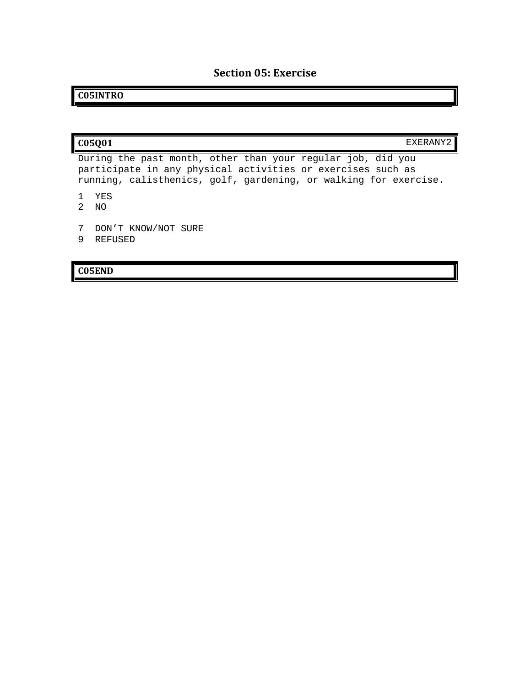## **Section 05: Exercise**

## <span id="page-15-0"></span>**C05INTRO**

| C05Q01                                                      | EXERANY2 |
|-------------------------------------------------------------|----------|
| During the past month, other than your reqular job, did you |          |
| participate in any physical activities or exercises such as |          |

participate in any physical activities or exercises such as running, calisthenics, golf, gardening, or walking for exercise.

- 1 YES
- 2 NO
- 7 DON'T KNOW/NOT SURE
- 9 REFUSED

### **C05END**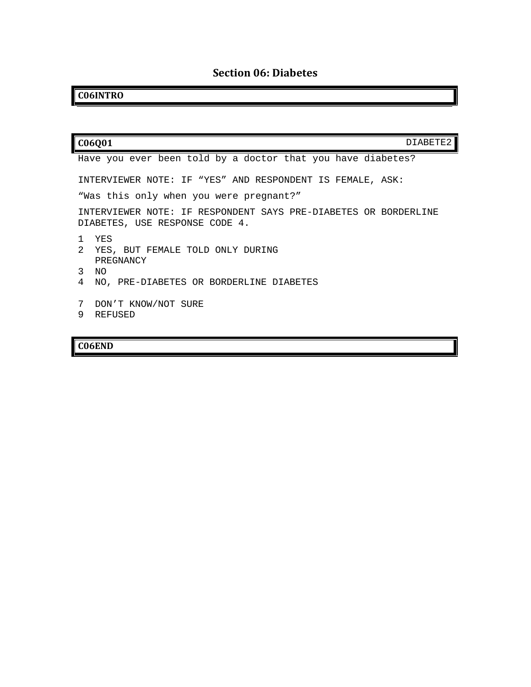# **Section 06: Diabetes**

# <span id="page-16-0"></span>**C06INTRO**

| C06Q01<br>DIABETE2                                                                                |
|---------------------------------------------------------------------------------------------------|
| Have you ever been told by a doctor that you have diabetes?                                       |
| INTERVIEWER NOTE: IF "YES" AND RESPONDENT IS FEMALE, ASK:                                         |
| "Was this only when you were pregnant?"                                                           |
| INTERVIEWER NOTE: IF RESPONDENT SAYS PRE-DIABETES OR BORDERLINE<br>DIABETES, USE RESPONSE CODE 4. |
| <b>YES</b><br>$\overline{2}$<br>YES, BUT FEMALE TOLD ONLY DURING<br>PREGNANCY                     |
| 3<br>NO.<br>4                                                                                     |
| NO, PRE-DIABETES OR BORDERLINE DIABETES                                                           |
| 7<br>DON'T KNOW/NOT SURE<br>9<br>REFUSED                                                          |

# **C06END**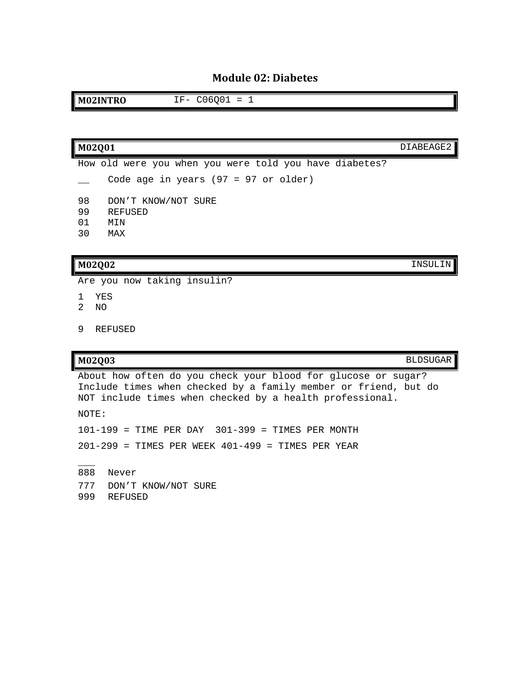### **Module 02: Diabetes**

<span id="page-17-0"></span>**M02INTRO** IF- C06Q01 = 1

### **M02Q01** DIABEAGE2

How old were you when you were told you have diabetes? Code age in years (97 = 97 or older) 98 DON'T KNOW/NOT SURE<br>99 REFUSED 99 REFUSED<br>01 MIN 01 MIN<br>30 MAX 30 MAX

#### **M02Q02** INSULIN

Are you now taking insulin?

- 1 YES
- 2 NO
- 9 REFUSED

**M02Q03** BLDSUGAR

About how often do you check your blood for glucose or sugar? Include times when checked by a family member or friend, but do NOT include times when checked by a health professional.

NOTE:

101-199 = TIME PER DAY 301-399 = TIMES PER MONTH 201-299 = TIMES PER WEEK 401-499 = TIMES PER YEAR

 $\overline{\phantom{a}}$ 888 Never 777 DON'T KNOW/NOT SURE 999 REFUSED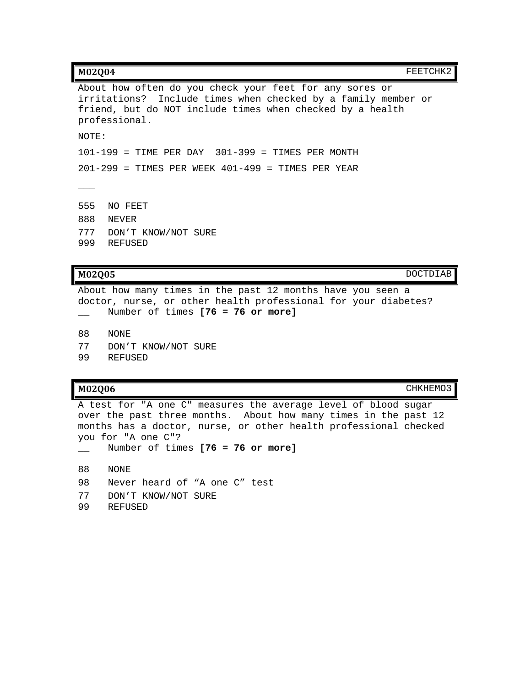| M02004<br>FEETCHK2                                                                                                                                                                                     |
|--------------------------------------------------------------------------------------------------------------------------------------------------------------------------------------------------------|
| About how often do you check your feet for any sores or<br>irritations? Include times when checked by a family member or<br>friend, but do NOT include times when checked by a health<br>professional. |
| NOTE:                                                                                                                                                                                                  |
| $101-199$ = TIME PER DAY $301-399$ = TIMES PER MONTH                                                                                                                                                   |
| $201-299$ = TIMES PER WEEK $401-499$ = TIMES PER YEAR                                                                                                                                                  |
|                                                                                                                                                                                                        |
| 555<br>NO FEET                                                                                                                                                                                         |
| 888<br><b>NEVER</b>                                                                                                                                                                                    |
| 777<br>DON'T KNOW/NOT SURE<br>999<br>REFUSED                                                                                                                                                           |

**M02Q05** DOCTDIAB

About how many times in the past 12 months have you seen a doctor, nurse, or other health professional for your diabetes? \_\_ Number of times **[76 = 76 or more]**

88 NONE

- 77 DON'T KNOW/NOT SURE<br>99 REFUSED
- **REFUSED**

**M02Q06** CHKHEMO3

A test for "A one C" measures the average level of blood sugar over the past three months. About how many times in the past 12 months has a doctor, nurse, or other health professional checked you for "A one C"?

- \_\_ Number of times **[76 = 76 or more]**
- 88 NONE
- 98 Never heard of "A one C" test
- 77 DON'T KNOW/NOT SURE<br>99 REFUSED
- 99 REFUSED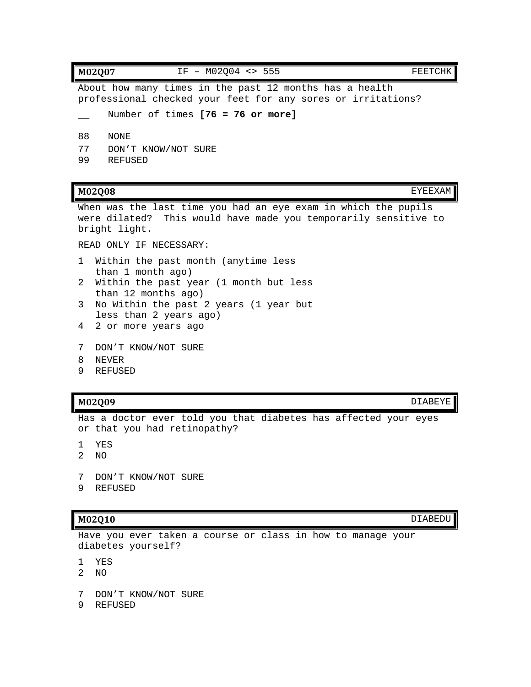**M02Q07 IF - M02Q04 <> 555 FEETCHK** About how many times in the past 12 months has a health professional checked your feet for any sores or irritations? Number of times **[76 = 76 or more]** 88 NONE 77 DON'T KNOW/NOT SURE<br>99 REFUSED **REFUSED** 

#### **M02Q08** EYEEXAM

When was the last time you had an eye exam in which the pupils were dilated? This would have made you temporarily sensitive to bright light.

READ ONLY IF NECESSARY:

- 1 Within the past month (anytime less than 1 month ago)
- 2 Within the past year (1 month but less than 12 months ago)
- 3 No Within the past 2 years (1 year but less than 2 years ago)
- 4 2 or more years ago
- 7 DON'T KNOW/NOT SURE
- 8 NEVER
- 9 REFUSED

### **M02Q09** DIABEYE

Has a doctor ever told you that diabetes has affected your eyes or that you had retinopathy?

- 1 YES
- 2 NO
- 7 DON'T KNOW/NOT SURE
- 9 REFUSED

#### **M02Q10** DIABEDU

Have you ever taken a course or class in how to manage your diabetes yourself?

- 1 YES
- 2 NO
- 7 DON'T KNOW/NOT SURE
- 9 REFUSED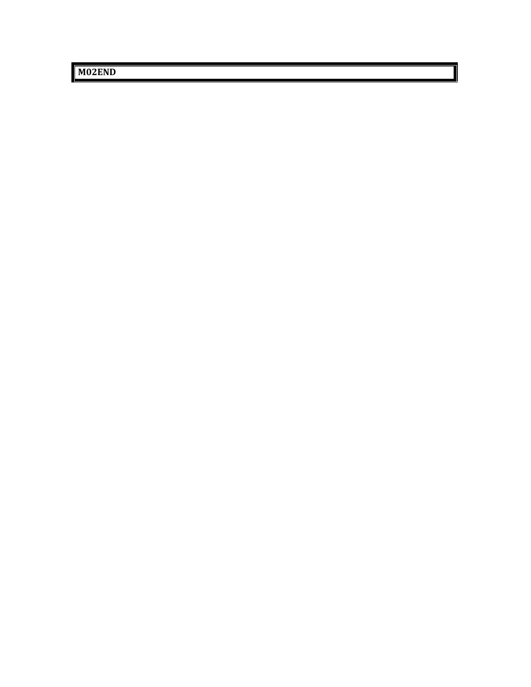**M02END**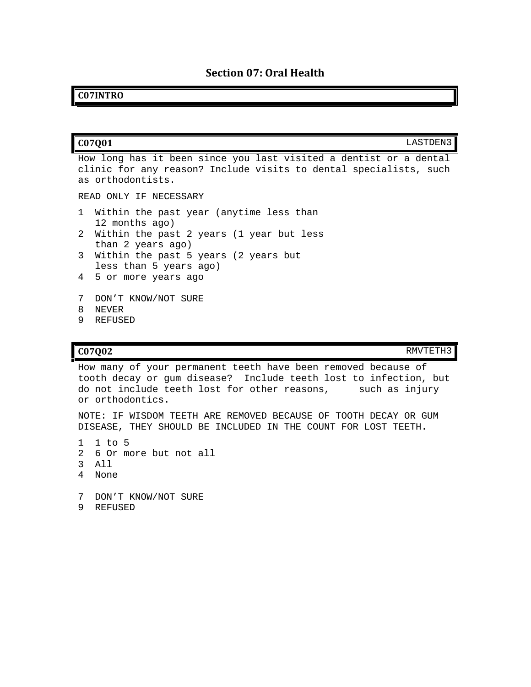### <span id="page-21-0"></span>**C07INTRO**

| C07001                                                                                                                                                      | LASTDEN3 |
|-------------------------------------------------------------------------------------------------------------------------------------------------------------|----------|
| How long has it been since you last visited a dentist or a dental<br>clinic for any reason? Include visits to dental specialists, such<br>as orthodontists. |          |
| READ ONLY IF NECESSARY                                                                                                                                      |          |
| Within the past year (anytime less than<br>$\mathbf{1}$<br>12 months ago)                                                                                   |          |
| 2<br>Within the past 2 years (1 year but less<br>than 2 years ago)                                                                                          |          |
| 3<br>Within the past 5 years (2 years but<br>less than 5 years ago)                                                                                         |          |
| 5 or more years ago<br>4                                                                                                                                    |          |
| 7<br>DON'T KNOW/NOT SURE<br><b>NEVER</b><br>9<br>REFUSED                                                                                                    |          |

#### **C07Q02** RMVTETH3

How many of your permanent teeth have been removed because of tooth decay or gum disease? Include teeth lost to infection, but do not include teeth lost for other reasons, such as injury or orthodontics.

NOTE: IF WISDOM TEETH ARE REMOVED BECAUSE OF TOOTH DECAY OR GUM DISEASE, THEY SHOULD BE INCLUDED IN THE COUNT FOR LOST TEETH.

- 1 1 to 5
- 2 6 Or more but not all
- 3 All
- 4 None
- 7 DON'T KNOW/NOT SURE
- 9 REFUSED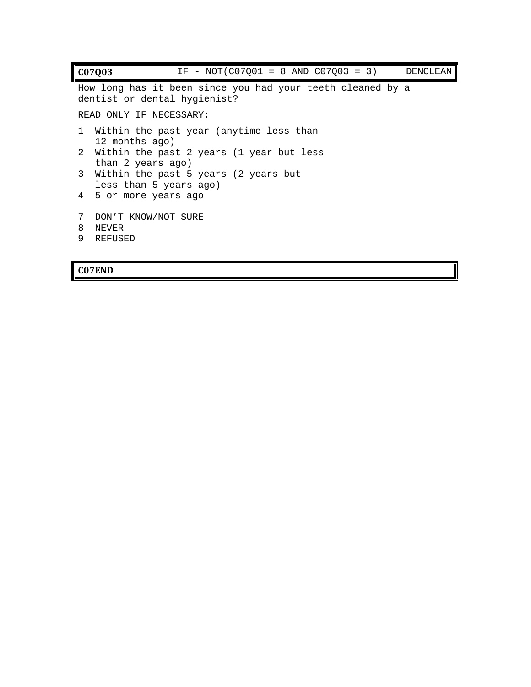```
C07Q03 IF - NOT (C07Q01 = 8 AND C07Q03 = 3 DENCLEAN
How long has it been since you had your teeth cleaned by a 
dentist or dental hygienist?
READ ONLY IF NECESSARY:
1 Within the past year (anytime less than 
  12 months ago)
2 Within the past 2 years (1 year but less 
  than 2 years ago)
3 Within the past 5 years (2 years but 
  less than 5 years ago)
4 5 or more years ago
7 DON'T KNOW/NOT SURE
8 NEVER
9 REFUSED
```
### **C07END**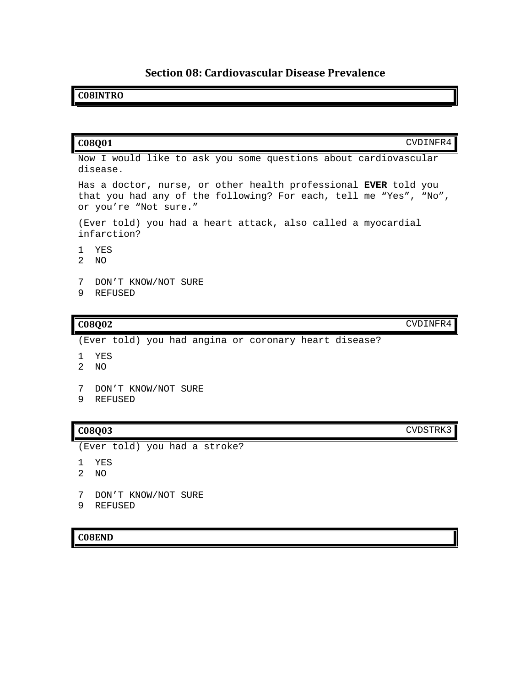## **Section 08: Cardiovascular Disease Prevalence**

### <span id="page-23-0"></span>**C08INTRO**

# **C08Q01** CVDINFR4 Now I would like to ask you some questions about cardiovascular disease. Has a doctor, nurse, or other health professional **EVER** told you that you had any of the following? For each, tell me "Yes", "No", or you're "Not sure." (Ever told) you had a heart attack, also called a myocardial infarction? 1 YES 2 NO

- 7 DON'T KNOW/NOT SURE
- 9 REFUSED

(Ever told) you had angina or coronary heart disease?

- 1 YES
- 2 NO
- 7 DON'T KNOW/NOT SURE
- 9 REFUSED

## **C08Q03** CVDSTRK3

(Ever told) you had a stroke?

- 1 YES
- 2 NO
- 7 DON'T KNOW/NOT SURE
- 9 REFUSED

### **C08END**

**C08Q02** CVDINFR4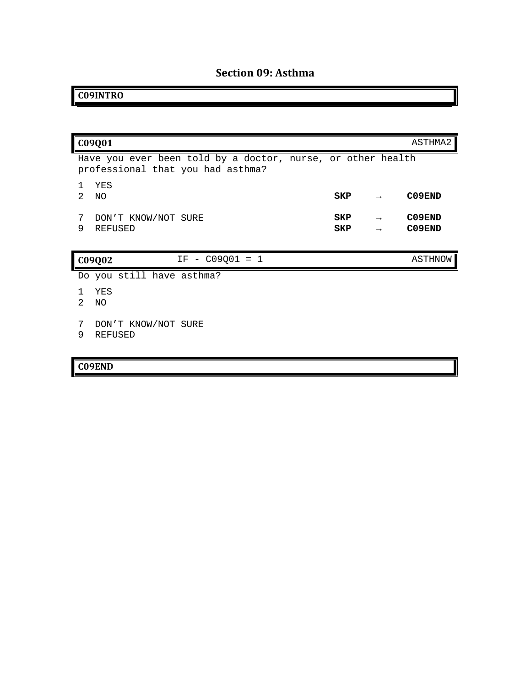# **Section 09: Asthma**

# <span id="page-24-0"></span>**C09INTRO**

|                     | C09Q01                                                                                           |            |                                | ASTHMA2          |
|---------------------|--------------------------------------------------------------------------------------------------|------------|--------------------------------|------------------|
|                     | Have you ever been told by a doctor, nurse, or other health<br>professional that you had asthma? |            |                                |                  |
| 1.<br>$\mathcal{L}$ | YES<br>NO.                                                                                       | SKP        | $\rightarrow$                  | C09END           |
| 7<br>9              | DON'T KNOW/NOT SURE<br><b>REFUSED</b>                                                            | SKP<br>SKP | $\rightarrow$<br>$\rightarrow$ | C09END<br>C09END |
|                     | $IF - CO9001 = 1$<br>C09Q02                                                                      |            |                                | ASTHNOW          |
|                     | Do you still have asthma?                                                                        |            |                                |                  |
| $\mathcal{L}$       | YES<br>NO.                                                                                       |            |                                |                  |
| 7<br>9              | DON'T KNOW/NOT SURE<br><b>REFUSED</b>                                                            |            |                                |                  |

# **C09END**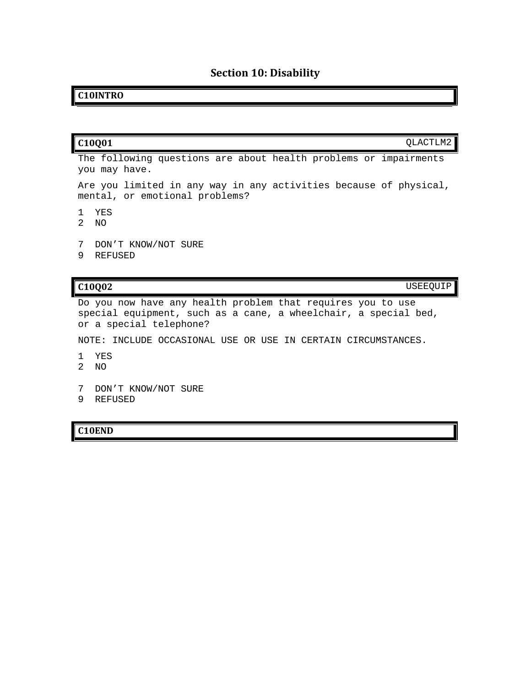# **Section 10: Disability**

### <span id="page-25-0"></span>**C10INTRO**

|               | C <sub>10</sub> Q <sub>01</sub>                                                                     | QLACTLM2 |
|---------------|-----------------------------------------------------------------------------------------------------|----------|
|               | The following questions are about health problems or impairments<br>you may have.                   |          |
|               | Are you limited in any way in any activities because of physical,<br>mental, or emotional problems? |          |
| $\mathcal{L}$ | YES<br>NO.                                                                                          |          |
| 9             | DON'T KNOW/NOT SURE<br>REFUSED                                                                      |          |

**C10Q02** USEEQUIP

Do you now have any health problem that requires you to use special equipment, such as a cane, a wheelchair, a special bed, or a special telephone?

NOTE: INCLUDE OCCASIONAL USE OR USE IN CERTAIN CIRCUMSTANCES.

- 1 YES
- 2 NO
- 7 DON'T KNOW/NOT SURE
- 9 REFUSED

**C10END**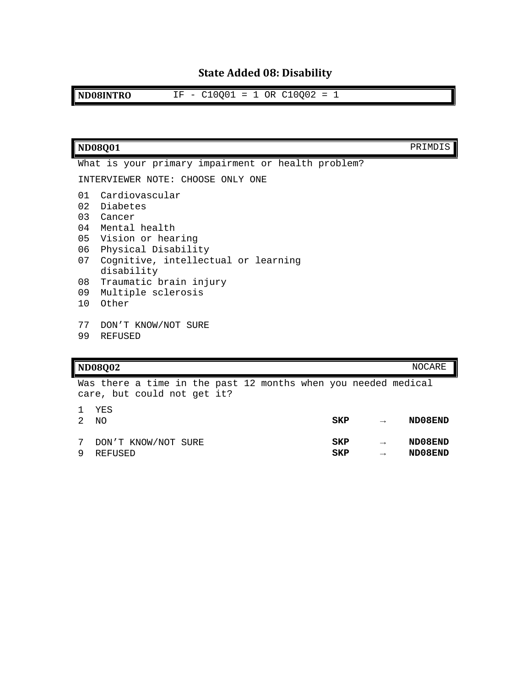# **State Added 08: Disability**

<span id="page-26-0"></span>**ND08INTRO** IF - C10Q01 = 1 OR C10Q02 = 1

| <b>ND08Q01</b>                                                                                                                                                                                                                                                              | PRIMDIS |
|-----------------------------------------------------------------------------------------------------------------------------------------------------------------------------------------------------------------------------------------------------------------------------|---------|
| What is your primary impairment or health problem?                                                                                                                                                                                                                          |         |
| INTERVIEWER NOTE: CHOOSE ONLY ONE                                                                                                                                                                                                                                           |         |
| Cardiovascular<br>01<br>02<br>Diabetes<br>03<br>Cancer<br>Mental health<br>04<br>05<br>Vision or hearing<br>06<br>Physical Disability<br>07<br>Cognitive, intellectual or learning<br>disability<br>Traumatic brain injury<br>08<br>09<br>Multiple sclerosis<br>10<br>Other |         |
| 77<br>DON'T KNOW/NOT SURE<br>99<br><b>REFUSED</b>                                                                                                                                                                                                                           |         |
| <b>ND08Q02</b>                                                                                                                                                                                                                                                              | NOCARE  |
| Was there a time in the past 12 months when you needed medical                                                                                                                                                                                                              |         |

Was there a time in the past 12 months when you needed medical care, but could not get it? YES

| 2 | NO.                   | SKP | $\rightarrow$ | ND08END |
|---|-----------------------|-----|---------------|---------|
|   | 7 DON'T KNOW/NOT SURE | SKP | $\rightarrow$ | ND08END |
|   | 9 REFUSED             | SKP | $\rightarrow$ | ND08END |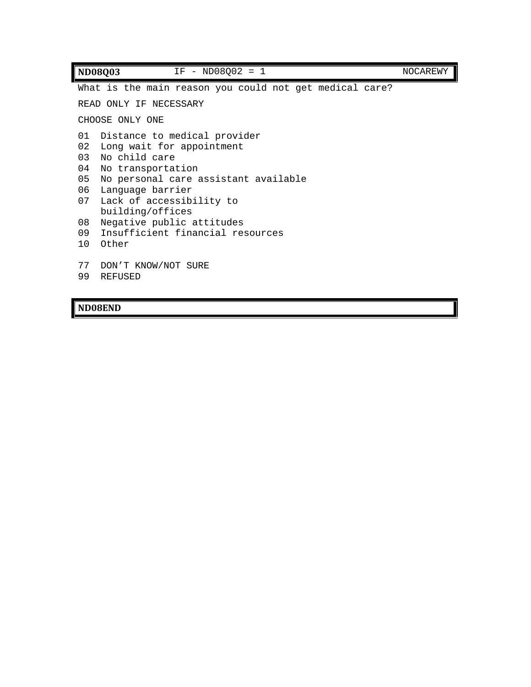| <b>ND08Q03</b>                               | $IF - ND08002 = 1$                                                                                                                                                                                                                                                                          | NOCAREWY |  |  |  |
|----------------------------------------------|---------------------------------------------------------------------------------------------------------------------------------------------------------------------------------------------------------------------------------------------------------------------------------------------|----------|--|--|--|
|                                              | What is the main reason you could not get medical care?                                                                                                                                                                                                                                     |          |  |  |  |
| READ ONLY IF NECESSARY                       |                                                                                                                                                                                                                                                                                             |          |  |  |  |
| CHOOSE ONLY ONE                              |                                                                                                                                                                                                                                                                                             |          |  |  |  |
| 01<br>02<br>03<br>04<br>05<br>07<br>08<br>10 | Distance to medical provider<br>Long wait for appointment<br>No child care<br>No transportation<br>No personal care assistant available<br>06 Language barrier<br>Lack of accessibility to<br>building/offices<br>Negative public attitudes<br>09 Insufficient financial resources<br>Other |          |  |  |  |
| 77<br>99                                     | DON'T KNOW/NOT SURE<br><b>REFUSED</b>                                                                                                                                                                                                                                                       |          |  |  |  |

# **ND08END**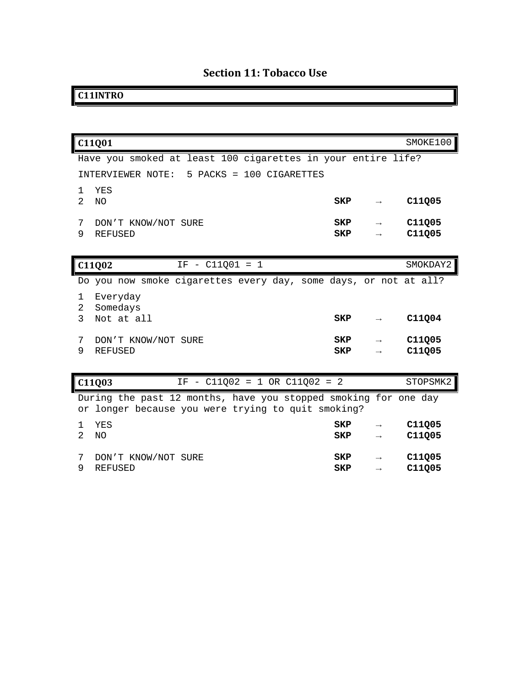# **Section 11: Tobacco Use**

# <span id="page-28-0"></span>**C11INTRO**

|                | C11Q01                                                           |            |               | SMOKE100         |
|----------------|------------------------------------------------------------------|------------|---------------|------------------|
|                | Have you smoked at least 100 cigarettes in your entire life?     |            |               |                  |
|                | INTERVIEWER NOTE: 5 PACKS = 100 CIGARETTES                       |            |               |                  |
| 1              | YES                                                              |            |               |                  |
| $\mathfrak{D}$ | <b>NO</b>                                                        | <b>SKP</b> | $\rightarrow$ | C11Q05           |
| 7              | DON'T KNOW/NOT SURE                                              | SKP        | $\rightarrow$ | C11Q05           |
| 9              | <b>REFUSED</b>                                                   | <b>SKP</b> |               | C11Q05           |
|                |                                                                  |            |               |                  |
|                | $IF - C11Q01 = 1$<br>C11Q02                                      |            |               | SMOKDAY2         |
|                | Do you now smoke cigarettes every day, some days, or not at all? |            |               |                  |
| 1              | Everyday                                                         |            |               |                  |
| 2<br>3         | Somedays<br>Not at all                                           | SKP        | $\rightarrow$ | C11Q04           |
|                |                                                                  |            |               |                  |
| 7<br>9         | DON'T KNOW/NOT SURE<br><b>REFUSED</b>                            | SKP<br>SKP |               | C11Q05<br>C11Q05 |
|                |                                                                  |            |               |                  |
|                |                                                                  |            |               |                  |
|                | $IF - C11002 = 1 OR C11002 = 2$<br>C11003                        |            |               | STOPSMK2         |
|                | During the past 12 months, have you stopped smoking for one day  |            |               |                  |
| or             | longer because you were trying to quit smoking?                  |            |               |                  |
| 1              | YES                                                              | <b>SKP</b> |               | C11Q05           |
| $\mathfrak{D}$ | N <sub>O</sub>                                                   | <b>SKP</b> | $\rightarrow$ | C11Q05           |
| 7              | DON'T KNOW/NOT SURE                                              | SKP        |               | C11Q05           |
| 9              | <b>REFUSED</b>                                                   | <b>SKP</b> | $\rightarrow$ | C11Q05           |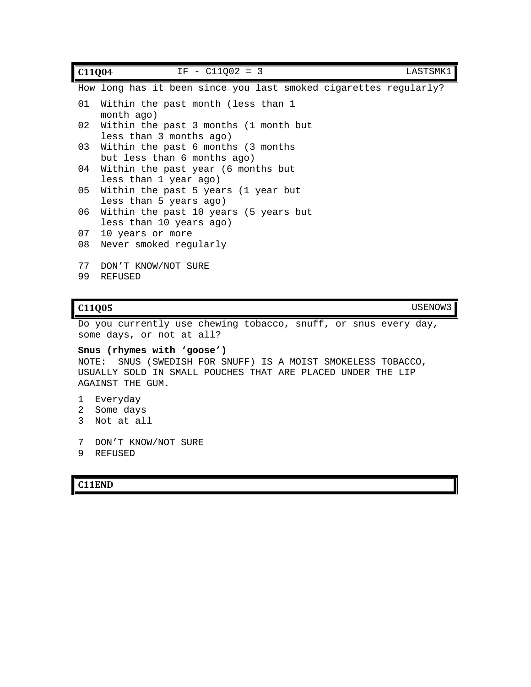| C11Q04 | $IF - C11002 = 3$                                                 | LASTSMK1 |
|--------|-------------------------------------------------------------------|----------|
|        | How long has it been since you last smoked cigarettes regularly?  |          |
| 01     | Within the past month (less than 1<br>month ago)                  |          |
| 02     | Within the past 3 months (1 month but<br>less than 3 months ago)  |          |
| 03     | Within the past 6 months (3 months<br>but less than 6 months ago) |          |
| 04     | Within the past year (6 months but<br>less than 1 year ago)       |          |
| 05     | Within the past 5 years (1 year but<br>less than 5 years ago)     |          |
| 06     | Within the past 10 years (5 years but<br>less than 10 years ago)  |          |
| 07     | 10 years or more                                                  |          |
| 08     | Never smoked regularly                                            |          |
| 77     | DON'T KNOW/NOT SURE                                               |          |
| 99     | <b>REFUSED</b>                                                    |          |

### **C11Q05** USENOW3

Do you currently use chewing tobacco, snuff, or snus every day, some days, or not at all?

**Snus (rhymes with 'goose')** NOTE: SNUS (SWEDISH FOR SNUFF) IS A MOIST SMOKELESS TOBACCO, USUALLY SOLD IN SMALL POUCHES THAT ARE PLACED UNDER THE LIP AGAINST THE GUM.

- 1 Everyday
- 2 Some days
- 3 Not at all
- 7 DON'T KNOW/NOT SURE
- 9 REFUSED

### **C11END**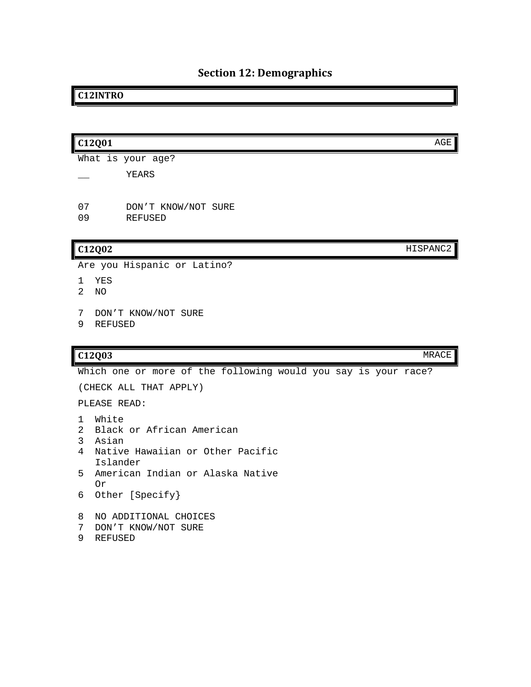# **Section 12: Demographics**

### <span id="page-30-0"></span>**C12INTRO**

| C12Q01                           |                                       | AGE      |
|----------------------------------|---------------------------------------|----------|
|                                  | What is your age?                     |          |
|                                  | YEARS                                 |          |
| 07<br>09                         | DON'T KNOW/NOT SURE<br><b>REFUSED</b> |          |
| C12Q02                           |                                       | HISPANC2 |
|                                  | Are you Hispanic or Latino?           |          |
| YES<br>1<br>$\mathfrak{D}$<br>NO |                                       |          |
| 7<br>9                           | DON'T KNOW/NOT SURE<br><b>REFUSED</b> |          |

#### **C12Q03** MRACE

Which one or more of the following would you say is your race? (CHECK ALL THAT APPLY) PLEASE READ: 1 White 2 Black or African American 3 Asian 4 Native Hawaiian or Other Pacific Islander 5 American Indian or Alaska Native Or 6 Other [Specify} 8 NO ADDITIONAL CHOICES 7 DON'T KNOW/NOT SURE 9 REFUSED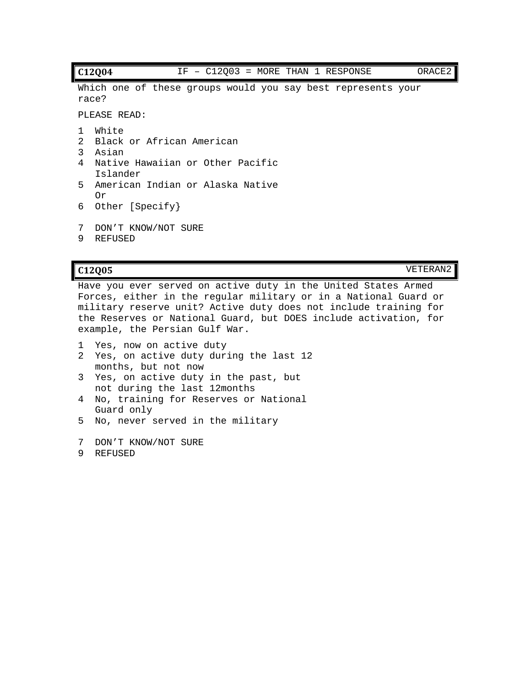#### **C12Q04** IF – C12Q03 = MORE THAN 1 RESPONSE ORACE2

Which one of these groups would you say best represents your race?

PLEASE READ:

- 1 White
- 2 Black or African American
- 3 Asian
- 4 Native Hawaiian or Other Pacific Islander
- 5 American Indian or Alaska Native Or
- 6 Other [Specify}
- 7 DON'T KNOW/NOT SURE
- 9 REFUSED

**C12Q05** VETERAN2

Have you ever served on active duty in the United States Armed Forces, either in the regular military or in a National Guard or military reserve unit? Active duty does not include training for the Reserves or National Guard, but DOES include activation, for example, the Persian Gulf War.

- 1 Yes, now on active duty
- 2 Yes, on active duty during the last 12 months, but not now
- 3 Yes, on active duty in the past, but not during the last 12months
- 4 No, training for Reserves or National Guard only
- 5 No, never served in the military
- 7 DON'T KNOW/NOT SURE
- 9 REFUSED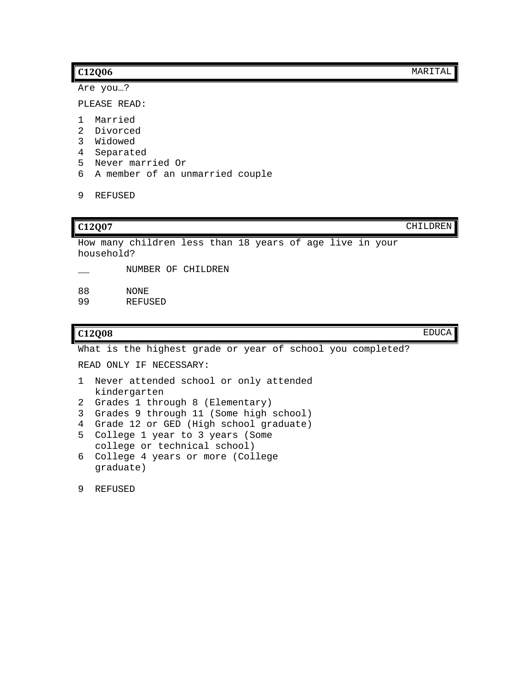Are you…?

PLEASE READ:

- 1 Married
- 2 Divorced
- 3 Widowed
- 4 Separated
- 5 Never married Or
- 6 A member of an unmarried couple

```
9 REFUSED
```
**C12Q07** CHILDREN

How many children less than 18 years of age live in your household?

- \_\_ NUMBER OF CHILDREN
- 88 NONE<br>99 REFU
- **REFUSED**

**C12Q08** EDUCA

What is the highest grade or year of school you completed?

READ ONLY IF NECESSARY:

- 1 Never attended school or only attended kindergarten
- 2 Grades 1 through 8 (Elementary)
- 3 Grades 9 through 11 (Some high school)
- 4 Grade 12 or GED (High school graduate)
- 5 College 1 year to 3 years (Some college or technical school)
- 6 College 4 years or more (College graduate)
- 9 REFUSED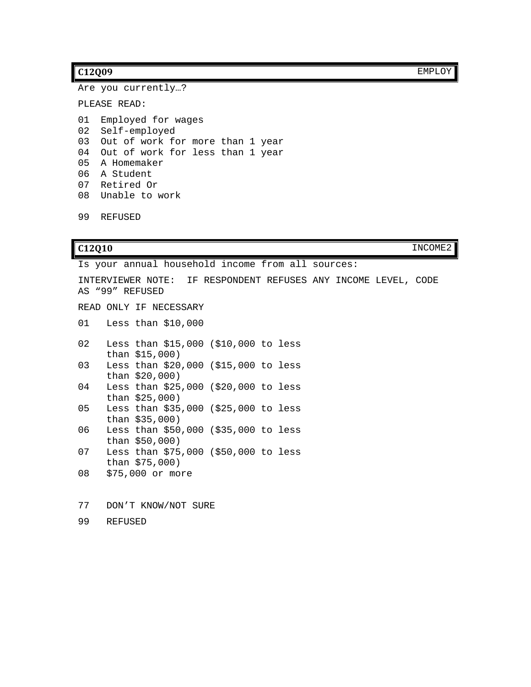#### **C12Q09** EMPLOY

Are you currently…?

PLEASE READ:

 Employed for wages Self-employed Out of work for more than 1 year Out of work for less than 1 year A Homemaker A Student Retired Or Unable to work

99 REFUSED

**C12Q10** INCOME2

Is your annual household income from all sources: INTERVIEWER NOTE: IF RESPONDENT REFUSES ANY INCOME LEVEL, CODE AS "99" REFUSED READ ONLY IF NECESSARY 01 Less than \$10,000 02 Less than \$15,000 (\$10,000 to less than \$15,000) 03 Less than \$20,000 (\$15,000 to less than \$20,000) 04 Less than \$25,000 (\$20,000 to less than \$25,000) 05 Less than \$35,000 (\$25,000 to less than \$35,000) 06 Less than \$50,000 (\$35,000 to less than \$50,000) 07 Less than \$75,000 (\$50,000 to less than \$75,000) 08 \$75,000 or more 77 DON'T KNOW/NOT SURE

99 REFUSED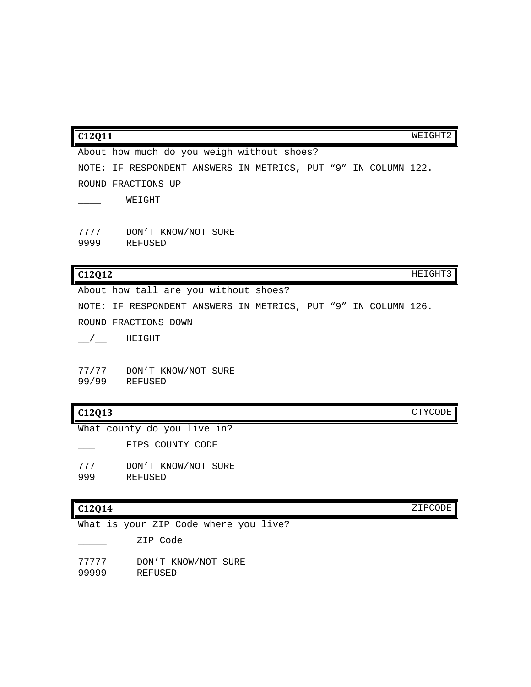|              | About how much do you weigh without shoes?                     |  |         |
|--------------|----------------------------------------------------------------|--|---------|
|              | NOTE: IF RESPONDENT ANSWERS IN METRICS, PUT "9" IN COLUMN 122. |  |         |
|              | ROUND FRACTIONS UP                                             |  |         |
|              | WEIGHT                                                         |  |         |
| 7777<br>9999 | DON'T KNOW/NOT SURE<br>REFUSED                                 |  |         |
| C12Q12       |                                                                |  | HEIGHT3 |
|              | About how tall are you without shoes?                          |  |         |

**C12Q11** WEIGHT2

NOTE: IF RESPONDENT ANSWERS IN METRICS, PUT "9" IN COLUMN 126. ROUND FRACTIONS DOWN  $\_$ / $\_$  HEIGHT

77/77 DON'T KNOW/NOT SURE 99/99 REFUSED

### **C12Q13** CTYCODE

What county do you live in?

FIPS COUNTY CODE

777 DON'T KNOW/NOT SURE<br>999 REFUSED 999 REFUSED

What is your ZIP Code where you live?

\_\_\_\_\_ ZIP Code

77777 DON'T KNOW/NOT SURE

99999 REFUSED

**C12Q14** ZIPCODE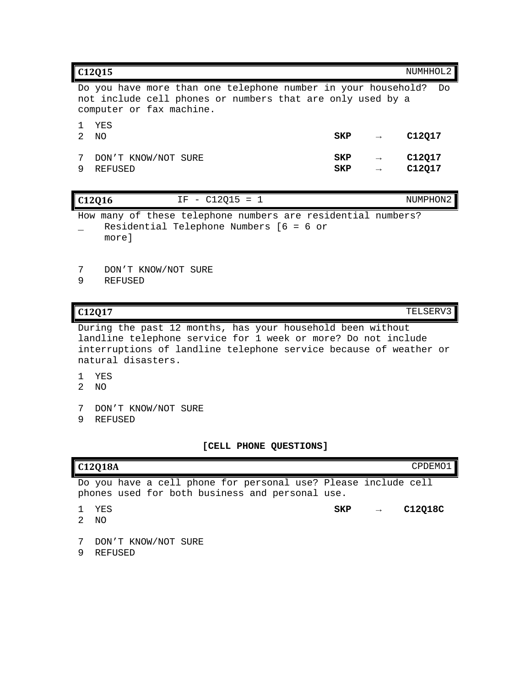| C12015<br>NUMHHOL2                                                                                                                                      |                                |                   |                                |                  |
|---------------------------------------------------------------------------------------------------------------------------------------------------------|--------------------------------|-------------------|--------------------------------|------------------|
| Do you have more than one telephone number in your household?<br>not include cell phones or numbers that are only used by a<br>computer or fax machine. |                                |                   |                                | Do               |
| 2                                                                                                                                                       | YES<br>NΟ                      | SKP               | $\rightarrow$                  | C12017           |
|                                                                                                                                                         | DON'T KNOW/NOT SURE<br>REFUSED | SKP<br><b>SKP</b> | $\rightarrow$<br>$\rightarrow$ | C12017<br>C12Q17 |

| C12016 |       | IF - $C12015 = 1$                                            | NUMPHON2 |
|--------|-------|--------------------------------------------------------------|----------|
|        |       | How many of these telephone numbers are residential numbers? |          |
|        | morel | Residential Telephone Numbers $[6 = 6$ or                    |          |

7 DON'T KNOW/NOT SURE<br>9 REFUSED

9 REFUSED

**C12Q17** TELSERV3

During the past 12 months, has your household been without landline telephone service for 1 week or more? Do not include interruptions of landline telephone service because of weather or natural disasters.

- 1 YES
- 2 NO
- 7 DON'T KNOW/NOT SURE
- 9 REFUSED

**[CELL PHONE QUESTIONS]**

| C12Q18A<br>CPDEM01 |                                                                                                                   |     |               |         |
|--------------------|-------------------------------------------------------------------------------------------------------------------|-----|---------------|---------|
|                    | Do you have a cell phone for personal use? Please include cell<br>phones used for both business and personal use. |     |               |         |
|                    |                                                                                                                   |     |               |         |
|                    | YES                                                                                                               | SKP | $\rightarrow$ | C12018C |
|                    | ΝO                                                                                                                |     |               |         |
|                    |                                                                                                                   |     |               |         |
|                    | DON'T KNOW/NOT SURE                                                                                               |     |               |         |
|                    | REFUSED                                                                                                           |     |               |         |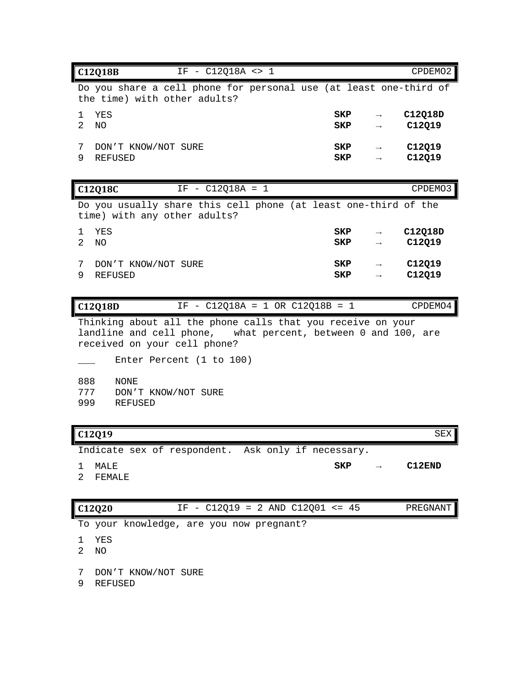| C12Q18B<br>IF - C12Q18A <> 1                                                                                                                                                             |                   |                                | CPDEMO2           |
|------------------------------------------------------------------------------------------------------------------------------------------------------------------------------------------|-------------------|--------------------------------|-------------------|
| Do you share a cell phone for personal use (at least one-third of<br>the time) with other adults?                                                                                        |                   |                                |                   |
| YES<br>1<br>$\overline{2}$<br>N <sub>O</sub>                                                                                                                                             | SKP<br>SKP        | $\rightarrow$<br>$\rightarrow$ | C12Q18D<br>C12Q19 |
| 7<br>DON'T KNOW/NOT SURE<br>9<br><b>REFUSED</b>                                                                                                                                          | SKP<br><b>SKP</b> |                                | C12Q19<br>C12Q19  |
| IF - C12Q18A = 1<br>C12Q18C                                                                                                                                                              |                   |                                | CPDEMO3           |
| Do you usually share this cell phone (at least one-third of the<br>time) with any other adults?                                                                                          |                   |                                |                   |
| YES<br>1<br>$\overline{a}$<br><b>NO</b>                                                                                                                                                  | SKP<br>SKP        | $\rightarrow$                  | C12Q18D<br>C12Q19 |
| 7<br>DON'T KNOW/NOT SURE<br>9<br><b>REFUSED</b>                                                                                                                                          | SKP<br>SKP        |                                | C12Q19<br>C12Q19  |
| IF - C12Q18A = 1 OR C12Q18B = 1<br>C12Q18D                                                                                                                                               |                   |                                | CPDEMO4           |
| Thinking about all the phone calls that you receive on your<br>landline and cell phone, what percent, between 0 and 100, are<br>received on your cell phone?<br>Enter Percent (1 to 100) |                   |                                |                   |
| 888<br><b>NONE</b><br>777<br>DON'T KNOW/NOT SURE<br>999<br><b>REFUSED</b>                                                                                                                |                   |                                |                   |
| C12Q19                                                                                                                                                                                   |                   |                                | SEX               |

Indicate sex of respondent. Ask only if necessary.

- 1 MALE **SKP → C12END**
- 2 FEMALE

| C12Q20 |  | IF - $C12Q19 = 2$ AND $C12Q01 \le 45$ |  |  |  | PREGNANT |
|--------|--|---------------------------------------|--|--|--|----------|
|--------|--|---------------------------------------|--|--|--|----------|

To your knowledge, are you now pregnant?

- 1 YES
- 2 NO
- 7 DON'T KNOW/NOT SURE
- 9 REFUSED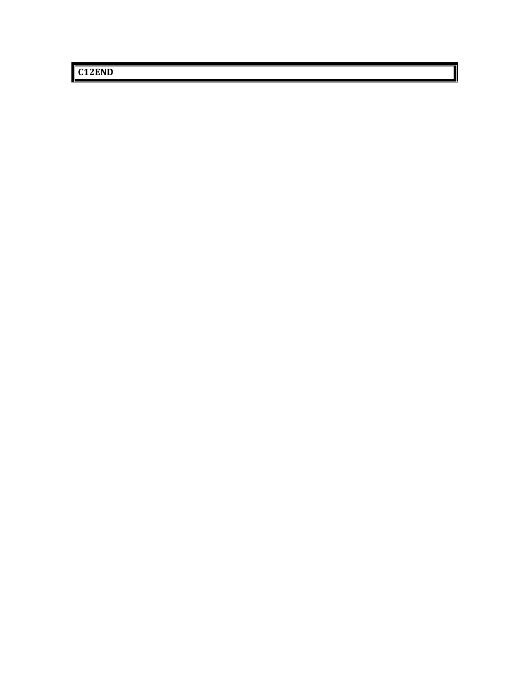**C12END**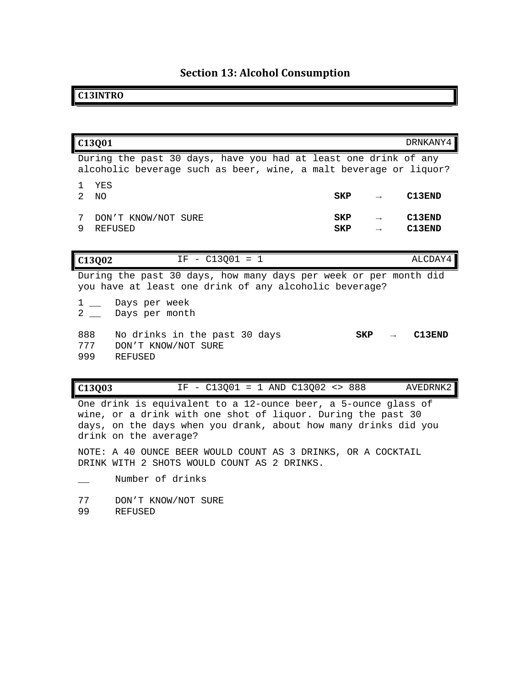# **Section 13: Alcohol Consumption**

### **C13INTRO**

| C13Q01                           |                                                                                                                                      |            | DRNKANY4         |
|----------------------------------|--------------------------------------------------------------------------------------------------------------------------------------|------------|------------------|
|                                  | During the past 30 days, have you had at least one drink of any<br>alcoholic beverage such as beer, wine, a malt beverage or liquor? |            |                  |
| YES<br>1.<br>$\mathcal{L}$<br>NΟ |                                                                                                                                      | SKP        | C13END           |
| 7<br>9                           | DON'T KNOW/NOT SURE<br><b>REFUSED</b>                                                                                                | SKP<br>SKP | C13END<br>C13END |
| C13Q02                           | $IF - C13001 = 1$                                                                                                                    |            | ALCDAY4          |
|                                  | During the past 30 days, how many days per week or per month did<br>you have at least one drink of any alcoholic beverage?           |            |                  |
| 1<br>$\overline{2}$              | __ Days per week<br>Days per month                                                                                                   |            |                  |
| 888<br>777<br>999                | No drinks in the past 30 days<br>DON'T KNOW/NOT SURE<br><b>REFUSED</b>                                                               | SKP        | C13END           |
| C13Q03                           | $-$ C13Q01 = 1 AND C13Q02 <> 888<br>ΙF                                                                                               |            | AVEDRNK2         |
|                                  |                                                                                                                                      |            |                  |

One drink is equivalent to a 12-ounce beer, a 5-ounce glass of wine, or a drink with one shot of liquor. During the past 30 days, on the days when you drank, about how many drinks did you drink on the average?

NOTE: A 40 OUNCE BEER WOULD COUNT AS 3 DRINKS, OR A COCKTAIL DRINK WITH 2 SHOTS WOULD COUNT AS 2 DRINKS.

- \_\_ Number of drinks
- 77 DON'T KNOW/NOT SURE<br>99 REFUSED
- **REFUSED**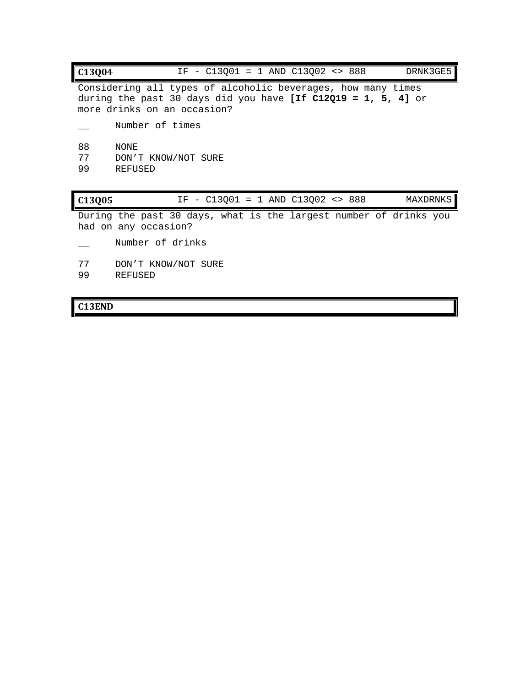| C13004         | IF - $C13001 = 1$ AND $C13002 \leq 888$<br>DRNK3GE5                                                                                                          |
|----------------|--------------------------------------------------------------------------------------------------------------------------------------------------------------|
|                | Considering all types of alcoholic beverages, how many times<br>during the past 30 days did you have [If C12Q19 = 1, 5, 4] or<br>more drinks on an occasion? |
|                | Number of times                                                                                                                                              |
| 88<br>77<br>99 | NONE<br>DON'T KNOW/NOT SURE<br>REFUSED                                                                                                                       |
| C13Q05         | IF - $C13Q01 = 1$ AND $C13Q02 \Leftrightarrow 888$<br><b>MAXDRNKS</b>                                                                                        |
|                | During the past 30 days, what is the largest number of drinks you<br>had on any occasion?                                                                    |
|                | Number of drinks                                                                                                                                             |

- 77 DON'T KNOW/NOT SURE
- 99 REFUSED

# **C13END**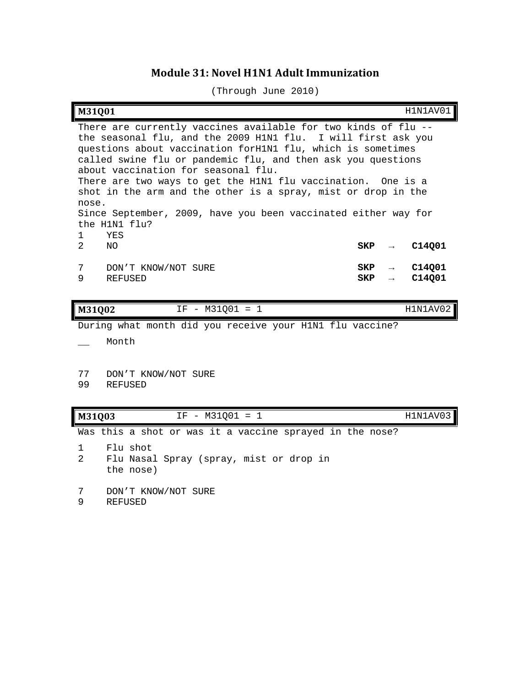## **Module 31: Novel H1N1 Adult Immunization**

(Through June 2010)

| M31001             |                                                                                                                                                                                                                                                                                                                                                                                                                                                                                                                     |            |               | H1N1AV01         |
|--------------------|---------------------------------------------------------------------------------------------------------------------------------------------------------------------------------------------------------------------------------------------------------------------------------------------------------------------------------------------------------------------------------------------------------------------------------------------------------------------------------------------------------------------|------------|---------------|------------------|
| nose.              | There are currently vaccines available for two kinds of flu --<br>the seasonal flu, and the 2009 H1N1 flu.<br>I will first ask you<br>questions about vaccination forH1N1 flu, which is sometimes<br>called swine flu or pandemic flu, and then ask you questions<br>about vaccination for seasonal flu.<br>There are two ways to get the H1N1 flu vaccination.<br>shot in the arm and the other is a spray, mist or drop in the<br>Since September, 2009, have you been vaccinated either way for<br>the H1N1 flu? |            |               | One is a         |
| $\mathbf{1}$<br>2  | YES<br>NO.                                                                                                                                                                                                                                                                                                                                                                                                                                                                                                          | SKP        |               | C14Q01           |
| 7<br>9             | DON'T KNOW/NOT SURE<br><b>REFUSED</b>                                                                                                                                                                                                                                                                                                                                                                                                                                                                               | SKP<br>SKP | $\rightarrow$ | C14Q01<br>C14Q01 |
| M31Q02             | $IF - M31Q01 = 1$                                                                                                                                                                                                                                                                                                                                                                                                                                                                                                   |            |               | H1N1AV02         |
|                    | During what month did you receive your H1N1 flu vaccine?                                                                                                                                                                                                                                                                                                                                                                                                                                                            |            |               |                  |
|                    | Month                                                                                                                                                                                                                                                                                                                                                                                                                                                                                                               |            |               |                  |
| 77                 | DON'T KNOW/NOT SURE                                                                                                                                                                                                                                                                                                                                                                                                                                                                                                 |            |               |                  |
| 99                 | <b>REFUSED</b>                                                                                                                                                                                                                                                                                                                                                                                                                                                                                                      |            |               |                  |
| M31Q03             | IF - M31Q01 = 1                                                                                                                                                                                                                                                                                                                                                                                                                                                                                                     |            |               | H1N1AV03         |
|                    | Was this a shot or was it a vaccine sprayed in the nose?                                                                                                                                                                                                                                                                                                                                                                                                                                                            |            |               |                  |
| 1<br>$\mathcal{L}$ | Flu shot<br>Flu Nasal Spray (spray, mist or drop in<br>the nose)                                                                                                                                                                                                                                                                                                                                                                                                                                                    |            |               |                  |
| 7<br>9             | DON'T KNOW/NOT SURE<br>REFUSED                                                                                                                                                                                                                                                                                                                                                                                                                                                                                      |            |               |                  |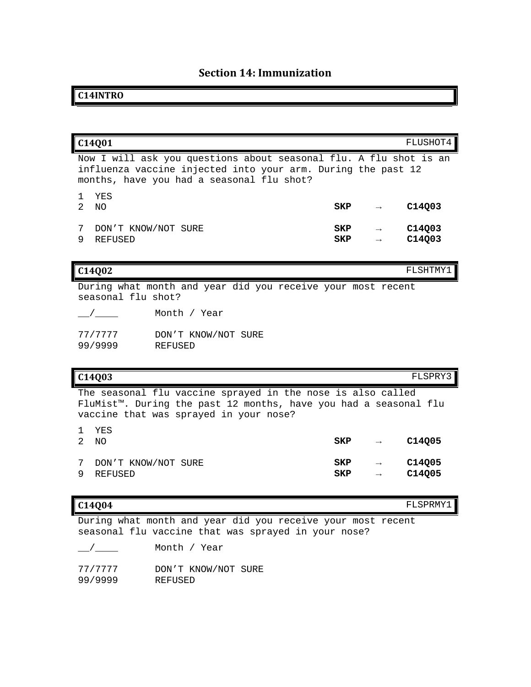# **Section 14: Immunization**

## **C14INTRO**

| C14Q01                                                                                                                                                                                 |            |               | FLUSHOT4         |
|----------------------------------------------------------------------------------------------------------------------------------------------------------------------------------------|------------|---------------|------------------|
| Now I will ask you questions about seasonal flu. A flu shot is an<br>influenza vaccine injected into your arm. During the past 12<br>months, have you had a seasonal flu shot?         |            |               |                  |
| YES<br>1.<br>$\mathfrak{D}$<br>N <sub>O</sub>                                                                                                                                          | SKP        | $\rightarrow$ | C14Q03           |
| 7<br>DON'T KNOW/NOT SURE<br>9<br><b>REFUSED</b>                                                                                                                                        | SKP<br>SKP |               | C14Q03<br>C14Q03 |
| C14002                                                                                                                                                                                 |            |               | FLSHTMY1         |
| During what month and year did you receive your most recent<br>seasonal flu shot?                                                                                                      |            |               |                  |
| Month / Year                                                                                                                                                                           |            |               |                  |
| 77/7777<br>DON'T KNOW/NOT SURE<br>99/9999<br><b>REFUSED</b>                                                                                                                            |            |               |                  |
| C14Q03                                                                                                                                                                                 |            |               | FLSPRY3          |
| The seasonal flu vaccine sprayed in the nose is also called<br>FluMist <sup>™</sup> . During the past 12 months, have you had a seasonal flu<br>vaccine that was sprayed in your nose? |            |               |                  |
| YES<br>1.<br>$\mathcal{L}$<br>N <sub>O</sub>                                                                                                                                           | SKP        | $\rightarrow$ | C14Q05           |
| 7<br>DON'T KNOW/NOT SURE<br>9<br><b>REFUSED</b>                                                                                                                                        | SKP<br>SKP |               | C14Q05<br>C14Q05 |

**C14Q04** FLSPRMY1

During what month and year did you receive your most recent seasonal flu vaccine that was sprayed in your nose?

| $\frac{1}{\sqrt{1-\frac{1}{2}}}\left( \frac{1}{\sqrt{1-\frac{1}{2}}}\right)$ | Month / Year        |
|------------------------------------------------------------------------------|---------------------|
| 77/7777                                                                      | DON'T KNOW/NOT SURE |
| 99/9999                                                                      | REFUSED             |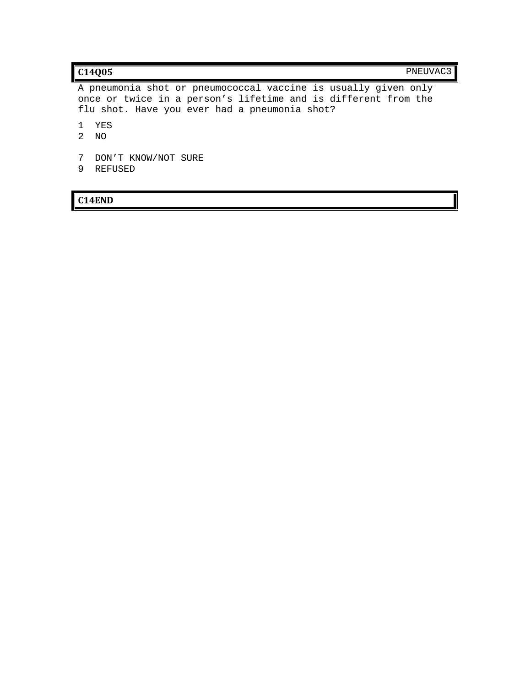A pneumonia shot or pneumococcal vaccine is usually given only once or twice in a person's lifetime and is different from the flu shot. Have you ever had a pneumonia shot?

- 1 YES
- 2 NO
- 7 DON'T KNOW/NOT SURE
- 9 REFUSED

**C14END**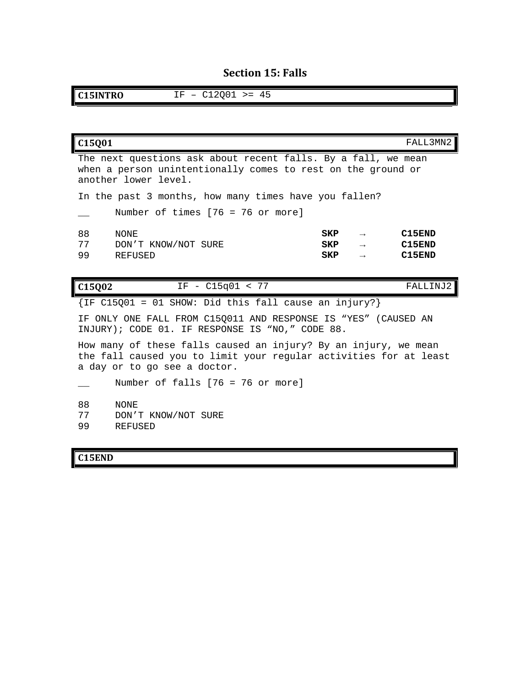# **Section 15: Falls**

**C15INTRO** IF – C12Q01 >= 45

| C15Q01                                                                                                                                                               |                                                                                                                                                       |                   |                                | FALL3MN2                   |  |
|----------------------------------------------------------------------------------------------------------------------------------------------------------------------|-------------------------------------------------------------------------------------------------------------------------------------------------------|-------------------|--------------------------------|----------------------------|--|
|                                                                                                                                                                      | The next questions ask about recent falls. By a fall, we mean<br>when a person unintentionally comes to rest on the ground or<br>another lower level. |                   |                                |                            |  |
|                                                                                                                                                                      | In the past 3 months, how many times have you fallen?                                                                                                 |                   |                                |                            |  |
|                                                                                                                                                                      | Number of times $[76 = 76$ or more]                                                                                                                   |                   |                                |                            |  |
| 88<br>77<br>99                                                                                                                                                       | NONE<br>DON'T KNOW/NOT SURE<br><b>REFUSED</b>                                                                                                         | SKP<br>SKP<br>SKP | $\rightarrow$<br>$\rightarrow$ | C15END<br>C15END<br>C15END |  |
| C15Q02                                                                                                                                                               | $IF - C15q01 < 77$                                                                                                                                    |                   |                                | FALLINJ2                   |  |
|                                                                                                                                                                      | $\{IF C15Q01 = 01 SIM: Did this fall cause an injury? \}$                                                                                             |                   |                                |                            |  |
|                                                                                                                                                                      | IF ONLY ONE FALL FROM C15Q011 AND RESPONSE IS "YES" (CAUSED AN<br>INJURY); CODE 01. IF RESPONSE IS "NO," CODE 88.                                     |                   |                                |                            |  |
| How many of these falls caused an injury? By an injury, we mean<br>the fall caused you to limit your regular activities for at least<br>a day or to go see a doctor. |                                                                                                                                                       |                   |                                |                            |  |
|                                                                                                                                                                      | Number of falls $[76 = 76$ or more]                                                                                                                   |                   |                                |                            |  |
| 88<br>77<br>99                                                                                                                                                       | <b>NONE</b><br>DON'T KNOW/NOT SURE<br><b>REFUSED</b>                                                                                                  |                   |                                |                            |  |

# **C15END**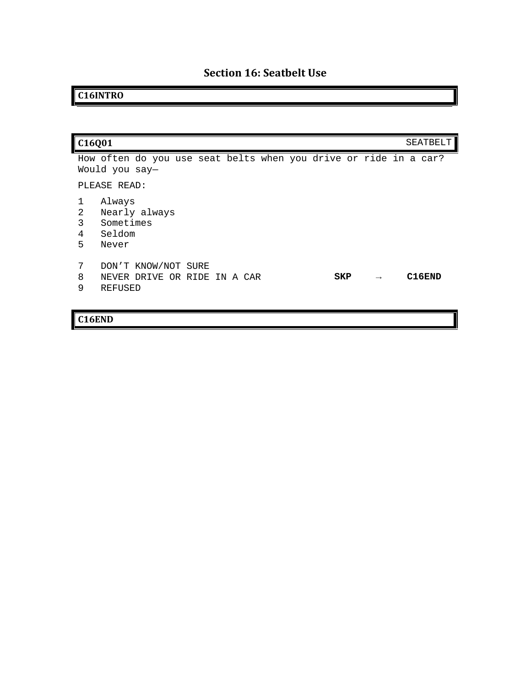# **C16INTRO**

| C16Q01                                                                                                       | SEATBELT |
|--------------------------------------------------------------------------------------------------------------|----------|
| How often do you use seat belts when you drive or ride in a car?<br>Would you say-<br>PLEASE READ:           |          |
| Always<br>2<br>Nearly always<br>3<br>Sometimes<br>Seldom<br>4<br>5<br>Never                                  |          |
| 7<br>DON'T KNOW/NOT SURE<br>8<br>NEVER DRIVE OR RIDE IN A CAR<br>SKP<br>$\rightarrow$<br><b>REFUSED</b><br>9 | C16END   |

# **C16END**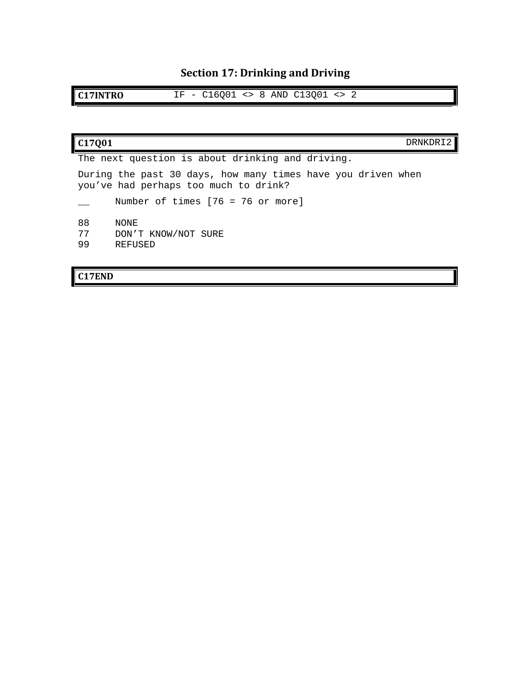# **Section 17: Drinking and Driving**

**C17INTRO** IF - C16Q01 <> 8 AND C13Q01 <> 2

| C <sub>17001</sub><br>DRNKDR <sup>-</sup>                                                             |
|-------------------------------------------------------------------------------------------------------|
| The next question is about drinking and driving.                                                      |
| During the past 30 days, how many times have you driven when<br>you've had perhaps too much to drink? |
| Number of times $[76 = 76$ or more]                                                                   |
| 88<br>NONE<br>77<br>DON'T KNOW/NOT SURE<br>99<br>REFUSED                                              |

# **C17END**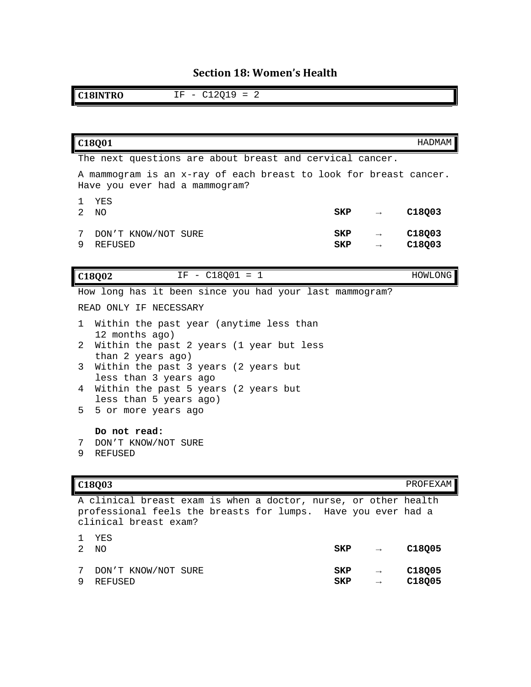# **Section 18: Women's Health**

**C18INTRO** IF - C12Q19 = 2

| C18Q01                                                                                              |                              |                                | HADMAM           |
|-----------------------------------------------------------------------------------------------------|------------------------------|--------------------------------|------------------|
| The next questions are about breast and cervical cancer.                                            |                              |                                |                  |
| A mammogram is an x-ray of each breast to look for breast cancer.<br>Have you ever had a mammogram? |                              |                                |                  |
| YES<br>1.<br>$2^{\circ}$<br>NO.                                                                     | $\mathbf{SKP}$ $\rightarrow$ |                                | C18Q03           |
| DON'T KNOW/NOT SURE<br>7<br>9<br><b>REFUSED</b>                                                     | SKP<br>SKP                   | $\rightarrow$<br>$\rightarrow$ | C18Q03<br>C18Q03 |
| $IF - C18Q01 = 1$<br>C18Q02                                                                         |                              |                                | HOWLONG          |
| How long has it been since you had your last mammogram?                                             |                              |                                |                  |
| READ ONLY IF NECESSARY                                                                              |                              |                                |                  |
| Within the past year (anytime less than<br>$\mathbf{1}$<br>12 months ago)                           |                              |                                |                  |
| Within the past 2 years (1 year but less<br>2<br>than 2 years ago)                                  |                              |                                |                  |
| Within the past 3 years (2 years but<br>3<br>less than 3 years ago                                  |                              |                                |                  |
| Within the past 5 years (2 years but<br>4<br>less than 5 years ago)                                 |                              |                                |                  |
| 5<br>5 or more years ago                                                                            |                              |                                |                  |
| Do not read:<br>DON'T KNOW/NOT SURE<br>7                                                            |                              |                                |                  |
|                                                                                                     |                              |                                |                  |

9 REFUSED

**C18Q03** PROFEXAM

A clinical breast exam is when a doctor, nurse, or other health professional feels the breasts for lumps. Have you ever had a clinical breast exam?

| 2 NO | 1 YES                 | SKP | $\rightarrow$ | C18005 |
|------|-----------------------|-----|---------------|--------|
| 9    | 7 DON'T KNOW/NOT SURE | SKP | $\rightarrow$ | C18005 |
|      | REFUSED               | SKP | $\rightarrow$ | C18005 |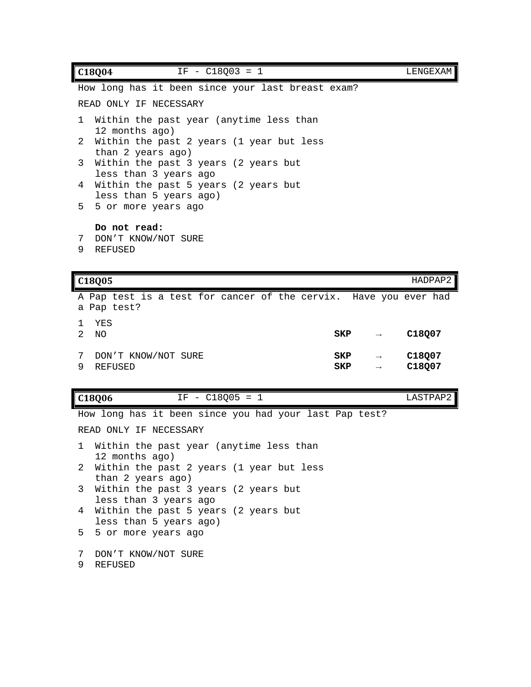| $IF - C18003 = 1$<br>C18004                                         | LENGEXAM |
|---------------------------------------------------------------------|----------|
| How long has it been since your last breast exam?                   |          |
| READ ONLY IF NECESSARY                                              |          |
| 1 Within the past year (anytime less than<br>12 months ago)         |          |
| 2 Within the past 2 years (1 year but less<br>than 2 years ago)     |          |
| 3<br>Within the past 3 years (2 years but<br>less than 3 years ago  |          |
| Within the past 5 years (2 years but<br>4<br>less than 5 years ago) |          |
| 5 5 or more years ago                                               |          |
| Do not read:<br>DON'T KNOW/NOT SURE<br>9<br>REFUSED                 |          |

|        | C18Q05                                                                          |            |                                | HADPAP2                      |
|--------|---------------------------------------------------------------------------------|------------|--------------------------------|------------------------------|
|        | A Pap test is a test for cancer of the cervix. Have you ever had<br>a Pap test? |            |                                |                              |
| 2      | YES<br>NO.                                                                      | SKP        | $\rightarrow$                  | C <sub>18007</sub>           |
| 7<br>9 | DON'T KNOW/NOT SURE<br><b>REFUSED</b>                                           | SKP<br>SKP | $\rightarrow$<br>$\rightarrow$ | C <sub>18007</sub><br>C18Q07 |

**C18Q06** IF - C18Q05 = 1 LASTPAP2

How long has it been since you had your last Pap test? READ ONLY IF NECESSARY 1 Within the past year (anytime less than 12 months ago) 2 Within the past 2 years (1 year but less than 2 years ago) 3 Within the past 3 years (2 years but less than 3 years ago 4 Within the past 5 years (2 years but less than 5 years ago) 5 5 or more years ago 7 DON'T KNOW/NOT SURE 9 REFUSED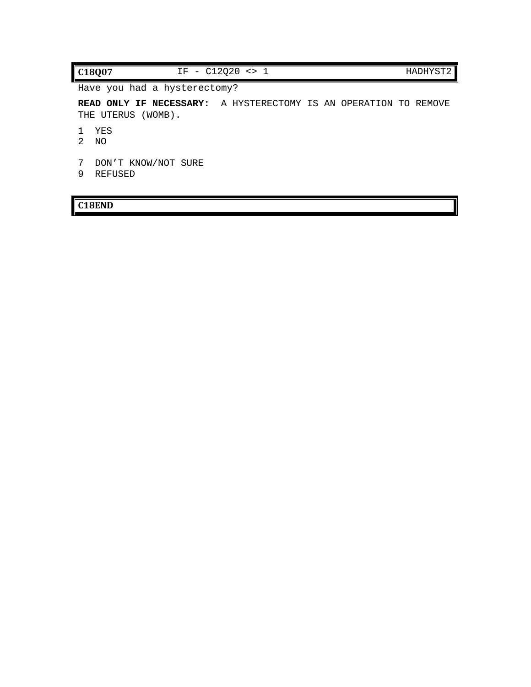### **C18Q07** IF - C12Q20 <> 1 HADHYST2

Have you had a hysterectomy?

**READ ONLY IF NECESSARY:** A HYSTERECTOMY IS AN OPERATION TO REMOVE THE UTERUS (WOMB).

- 1 YES
- 2 NO
- 7 DON'T KNOW/NOT SURE
- 9 REFUSED

### **C18END**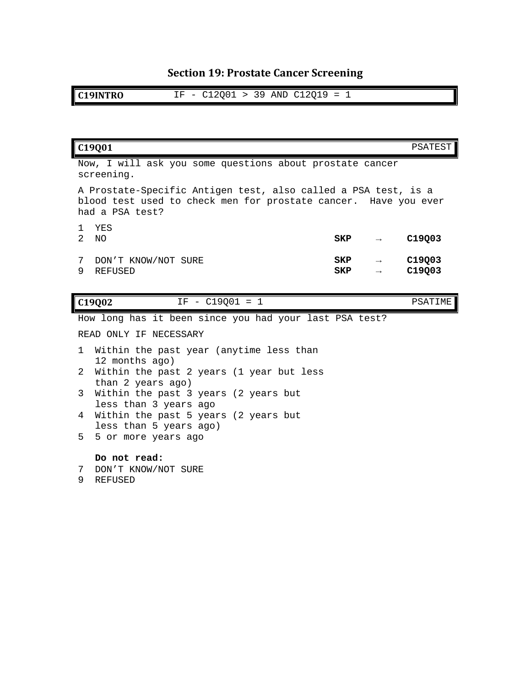# **Section 19: Prostate Cancer Screening**

**C19INTRO** IF - C12Q01 > 39 AND C12Q19 = 1

|                                                                                                                                                      | C19Q01                                                                          |                   |                   | PSATEST          |  |
|------------------------------------------------------------------------------------------------------------------------------------------------------|---------------------------------------------------------------------------------|-------------------|-------------------|------------------|--|
|                                                                                                                                                      | Now, I will ask you some questions about prostate cancer<br>screening.          |                   |                   |                  |  |
| A Prostate-Specific Antigen test, also called a PSA test, is a<br>blood test used to check men for prostate cancer. Have you ever<br>had a PSA test? |                                                                                 |                   |                   |                  |  |
| 1.<br>$\mathcal{L}$                                                                                                                                  | YES<br>NO.                                                                      | SKP               | $\longrightarrow$ | C19Q03           |  |
| 7<br>9                                                                                                                                               | DON'T KNOW/NOT SURE<br>REFUSED                                                  | SKP<br><b>SKP</b> |                   | C19Q03<br>C19Q03 |  |
|                                                                                                                                                      |                                                                                 |                   |                   |                  |  |
|                                                                                                                                                      | $IF - C19001 = 1$<br>C19002                                                     |                   |                   | PSATIME          |  |
|                                                                                                                                                      | How long has it been since you had your last PSA test?                          |                   |                   |                  |  |
|                                                                                                                                                      | READ ONLY IF NECESSARY                                                          |                   |                   |                  |  |
| 1.                                                                                                                                                   | Within the past year (anytime less than                                         |                   |                   |                  |  |
| 2                                                                                                                                                    | 12 months ago)<br>Within the past 2 years (1 year but less<br>than 2 years ago) |                   |                   |                  |  |
| 3                                                                                                                                                    | Within the past 3 years (2 years but<br>less than 3 years ago                   |                   |                   |                  |  |
| 4                                                                                                                                                    | Within the past 5 years (2 years but                                            |                   |                   |                  |  |
| 5.                                                                                                                                                   | less than 5 years ago)<br>5 or more years ago                                   |                   |                   |                  |  |
| 7<br>9                                                                                                                                               | Do not read:<br>DON'T KNOW/NOT SURE<br>REFUSED                                  |                   |                   |                  |  |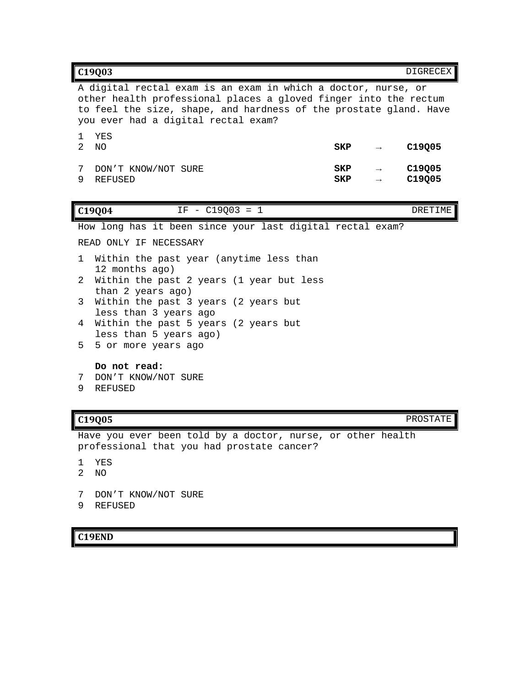| C19Q03                                                                                                                                                                                                                                        | <b>DIGRECEX</b>  |
|-----------------------------------------------------------------------------------------------------------------------------------------------------------------------------------------------------------------------------------------------|------------------|
| A digital rectal exam is an exam in which a doctor, nurse, or<br>other health professional places a gloved finger into the rectum<br>to feel the size, shape, and hardness of the prostate gland. Have<br>you ever had a digital rectal exam? |                  |
| YES<br>1.<br>$\mathcal{L}$<br>NO<br>SKP<br>$\rightarrow$                                                                                                                                                                                      | C19Q05           |
| DON'T KNOW/NOT SURE<br>SKP<br>7<br>9<br><b>REFUSED</b><br>SKP<br>$\rightarrow$                                                                                                                                                                | C19Q05<br>C19Q05 |
| $IF - C19003 = 1$<br>C19Q04                                                                                                                                                                                                                   | DRETIME          |
| How long has it been since your last digital rectal exam?                                                                                                                                                                                     |                  |
| READ ONLY IF NECESSARY                                                                                                                                                                                                                        |                  |
| Within the past year (anytime less than<br>$\mathbf{1}$<br>12 months ago)                                                                                                                                                                     |                  |
| Within the past 2 years (1 year but less<br>2<br>than 2 years ago)                                                                                                                                                                            |                  |
| Within the past 3 years (2 years but<br>3<br>less than 3 years ago                                                                                                                                                                            |                  |
| Within the past 5 years (2 years but<br>4<br>less than 5 years ago)                                                                                                                                                                           |                  |
| 5<br>5 or more years ago                                                                                                                                                                                                                      |                  |
| Do not read:                                                                                                                                                                                                                                  |                  |

- 7 DON'T KNOW/NOT SURE
- 9 REFUSED

**C19Q05** PROSTATE

Have you ever been told by a doctor, nurse, or other health professional that you had prostate cancer?

- 1 YES
- 2 NO
- 7 DON'T KNOW/NOT SURE
- 9 REFUSED

## **C19END**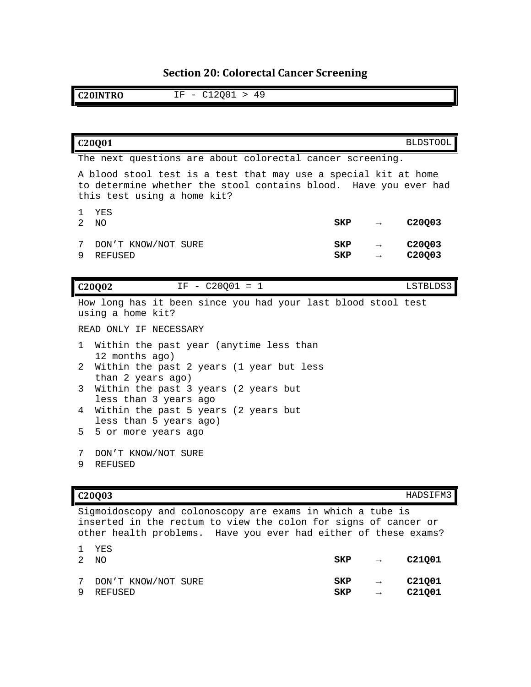# **Section 20: Colorectal Cancer Screening**

**C20INTRO** IF - C12Q01 > 49

|                      | C20Q01                                                                                                                                                             |            |               | <b>BLDSTOOL</b>  |
|----------------------|--------------------------------------------------------------------------------------------------------------------------------------------------------------------|------------|---------------|------------------|
|                      | The next questions are about colorectal cancer screening.                                                                                                          |            |               |                  |
|                      | A blood stool test is a test that may use a special kit at home<br>to determine whether the stool contains blood. Have you ever had<br>this test using a home kit? |            |               |                  |
| 1.<br>$\overline{a}$ | YES<br>NO                                                                                                                                                          | SKP        | $\rightarrow$ | C20Q03           |
| 7<br>9               | DON'T KNOW/NOT SURE<br><b>REFUSED</b>                                                                                                                              | SKP<br>SKP | $\rightarrow$ | C20Q03<br>C20Q03 |
|                      | $IF - C20Q01 = 1$<br>C20Q02                                                                                                                                        |            |               | LSTBLDS3         |
|                      | How long has it been since you had your last blood stool test<br>using a home kit?                                                                                 |            |               |                  |
|                      | READ ONLY IF NECESSARY                                                                                                                                             |            |               |                  |
| 1                    | Within the past year (anytime less than<br>12 months ago)                                                                                                          |            |               |                  |
| 2.                   | Within the past 2 years (1 year but less<br>than 2 years ago)                                                                                                      |            |               |                  |
| 3                    | Within the past 3 years (2 years but<br>less than 3 years ago                                                                                                      |            |               |                  |
| 4                    | Within the past 5 years (2 years but                                                                                                                               |            |               |                  |
| 5                    | less than 5 years ago)<br>5 or more years ago                                                                                                                      |            |               |                  |
| 7<br>9               | DON'T KNOW/NOT SURE<br><b>REFUSED</b>                                                                                                                              |            |               |                  |

**C20Q03** HADSIFM3

Sigmoidoscopy and colonoscopy are exams in which a tube is inserted in the rectum to view the colon for signs of cancer or other health problems. Have you ever had either of these exams?

|   | 1 YES<br>2 NO         | SKP | $\rightarrow$ | C21001 |
|---|-----------------------|-----|---------------|--------|
| 9 | 7 DON'T KNOW/NOT SURE | SKP | $\rightarrow$ | C21001 |
|   | REFUSED               | SKP | $\rightarrow$ | C21001 |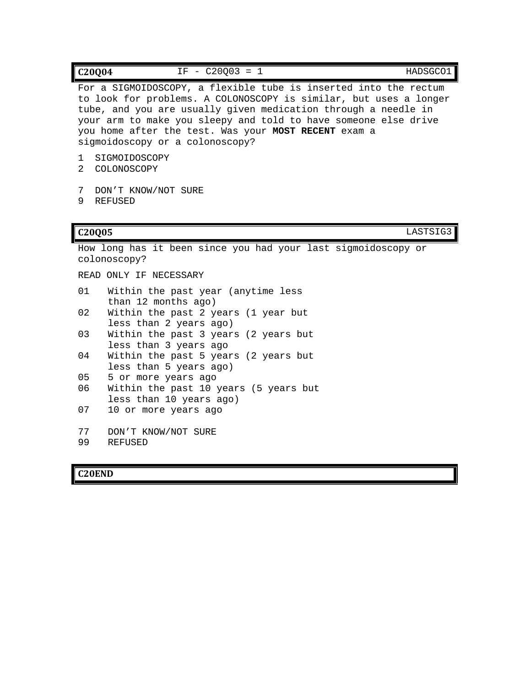|                     | $IF - C20003 = 1$<br>C20Q04<br>HADSGCO1                                                                                                                                                                                                                                                                                                                               |
|---------------------|-----------------------------------------------------------------------------------------------------------------------------------------------------------------------------------------------------------------------------------------------------------------------------------------------------------------------------------------------------------------------|
|                     | For a SIGMOIDOSCOPY, a flexible tube is inserted into the rectum<br>to look for problems. A COLONOSCOPY is similar, but uses a longer<br>tube, and you are usually given medication through a needle in<br>your arm to make you sleepy and told to have someone else drive<br>you home after the test. Was your MOST RECENT exam a<br>sigmoidoscopy or a colonoscopy? |
| 1<br>$\mathfrak{D}$ | SIGMOIDOSCOPY<br>COLONOSCOPY                                                                                                                                                                                                                                                                                                                                          |
| 7<br>9              | DON'T KNOW/NOT SURE<br><b>REFUSED</b>                                                                                                                                                                                                                                                                                                                                 |
|                     | LASTSIG3<br>C20Q05                                                                                                                                                                                                                                                                                                                                                    |
|                     | How long has it been since you had your last sigmoidoscopy or<br>colonoscopy?                                                                                                                                                                                                                                                                                         |
|                     | READ ONLY IF NECESSARY                                                                                                                                                                                                                                                                                                                                                |
| 01                  | Within the past year (anytime less<br>than 12 months ago)                                                                                                                                                                                                                                                                                                             |
| 02                  | Within the past 2 years (1 year but<br>less than 2 years ago)                                                                                                                                                                                                                                                                                                         |
| 03                  | Within the past 3 years (2 years but<br>less than 3 years ago                                                                                                                                                                                                                                                                                                         |
| 04                  | Within the past 5 years (2 years but<br>less than 5 years ago)                                                                                                                                                                                                                                                                                                        |
| 05                  | 5 or more years ago                                                                                                                                                                                                                                                                                                                                                   |
| 06                  | Within the past 10 years (5 years but<br>less than 10 years ago)                                                                                                                                                                                                                                                                                                      |
| 07                  | 10 or more years ago                                                                                                                                                                                                                                                                                                                                                  |
| 77                  | DON'T KNOW/NOT SURE                                                                                                                                                                                                                                                                                                                                                   |
| 99                  | <b>REFUSED</b>                                                                                                                                                                                                                                                                                                                                                        |

# **C20END**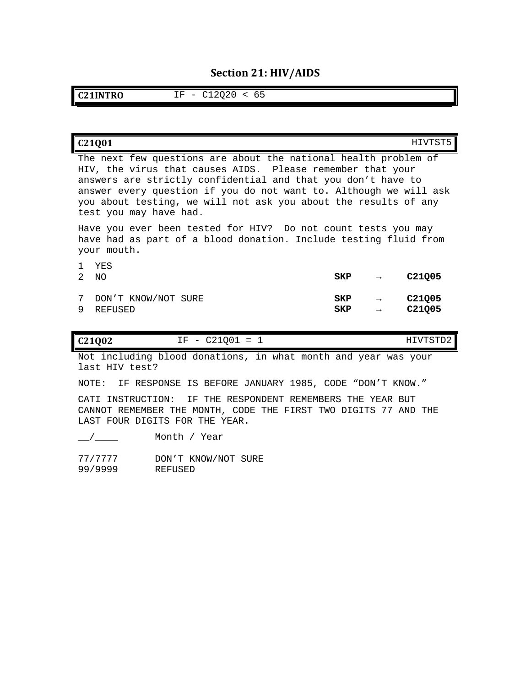## **Section 21: HIV/AIDS**

**C21INTRO** IF - C12Q20 < 65

| C21001                                                                                                                                                                                                                                                                                                                                                          |            |               | HIVTST5                                  |
|-----------------------------------------------------------------------------------------------------------------------------------------------------------------------------------------------------------------------------------------------------------------------------------------------------------------------------------------------------------------|------------|---------------|------------------------------------------|
| The next few questions are about the national health problem of<br>HIV, the virus that causes AIDS. Please remember that your<br>answers are strictly confidential and that you don't have to<br>answer every question if you do not want to. Although we will ask<br>you about testing, we will not ask you about the results of any<br>test you may have had. |            |               |                                          |
| Have you ever been tested for HIV? Do not count tests you may<br>have had as part of a blood donation. Include testing fluid from<br>your mouth.                                                                                                                                                                                                                |            |               |                                          |
| YES<br>2<br>NO.                                                                                                                                                                                                                                                                                                                                                 | SKP        | $\rightarrow$ | C <sub>21005</sub>                       |
| 7<br>DON'T KNOW/NOT SURE<br>9<br>REFUSED                                                                                                                                                                                                                                                                                                                        | SKP<br>SKP | $\rightarrow$ | C <sub>21005</sub><br>C <sub>21005</sub> |

| C21Q02<br>__<br>TTTTTHAMD<br>$\mathbf{v}$<br>$\overline{\phantom{a}}$<br>-- -<br>---<br>-<br>$ -$ |  |
|---------------------------------------------------------------------------------------------------|--|
|---------------------------------------------------------------------------------------------------|--|

Not including blood donations, in what month and year was your last HIV test?

NOTE: IF RESPONSE IS BEFORE JANUARY 1985, CODE "DON'T KNOW."

CATI INSTRUCTION: IF THE RESPONDENT REMEMBERS THE YEAR BUT CANNOT REMEMBER THE MONTH, CODE THE FIRST TWO DIGITS 77 AND THE LAST FOUR DIGITS FOR THE YEAR.

 $\frac{1}{2}$  Month / Year

77/7777 DON'T KNOW/NOT SURE<br>99/9999 REFUSED

99/9999 REFUSED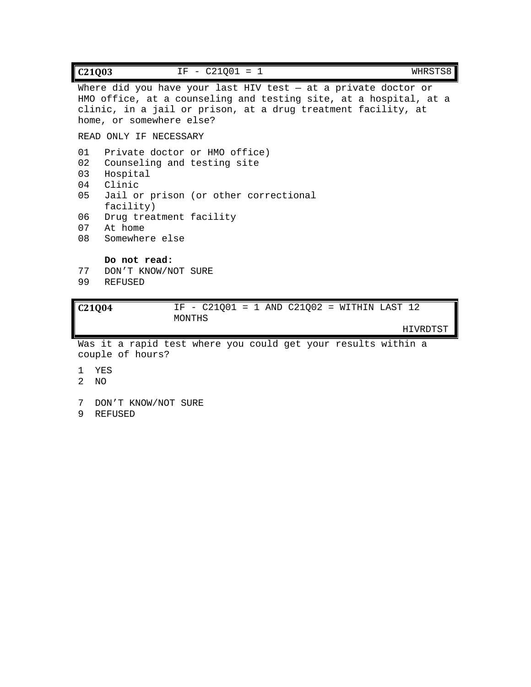| $IF - C21Q01 = 1$<br>WHRSTS8<br>C <sub>21</sub> Q <sub>03</sub>                                                                                                                                                                                  |  |  |  |
|--------------------------------------------------------------------------------------------------------------------------------------------------------------------------------------------------------------------------------------------------|--|--|--|
| Where did you have your last HIV test $-$ at a private doctor or<br>HMO office, at a counseling and testing site, at a hospital, at a<br>clinic, in a jail or prison, at a drug treatment facility, at<br>home, or somewhere else?               |  |  |  |
| READ ONLY IF NECESSARY                                                                                                                                                                                                                           |  |  |  |
| 01<br>Private doctor or HMO office)<br>02<br>Counseling and testing site<br>03<br>Hospital<br>Clinic<br>04<br>05<br>Jail or prison (or other correctional<br>facility)<br>06<br>Drug treatment facility<br>07<br>At home<br>08<br>Somewhere else |  |  |  |
| Do not read:<br>77<br>DON'T KNOW/NOT SURE<br>99<br><b>REFUSED</b>                                                                                                                                                                                |  |  |  |
| IF - $C21Q01 = 1$ AND $C21Q02 = WITHIN LAST 12$<br>C <sub>21004</sub>                                                                                                                                                                            |  |  |  |

MONTHS

HIVRDTST

Was it a rapid test where you could get your results within a couple of hours?

- 1 YES
- 2 NO
- 7 DON'T KNOW/NOT SURE
- 9 REFUSED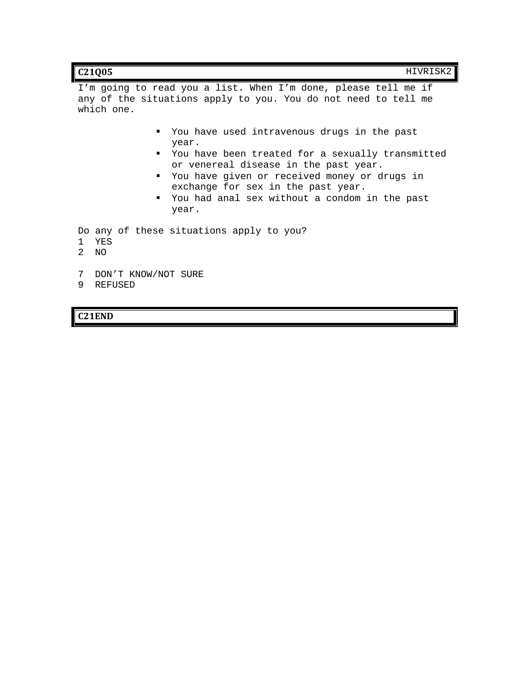| C21Q05 | HIVRISK2 |
|--------|----------|
|--------|----------|

I'm going to read you a list. When I'm done, please tell me if any of the situations apply to you. You do not need to tell me which one.

- You have used intravenous drugs in the past year.
- You have been treated for a sexually transmitted or venereal disease in the past year.
- You have given or received money or drugs in exchange for sex in the past year.
- You had anal sex without a condom in the past year.

Do any of these situations apply to you?

- 1 YES
- 2 NO
- 7 DON'T KNOW/NOT SURE
- 9 REFUSED

**C21END**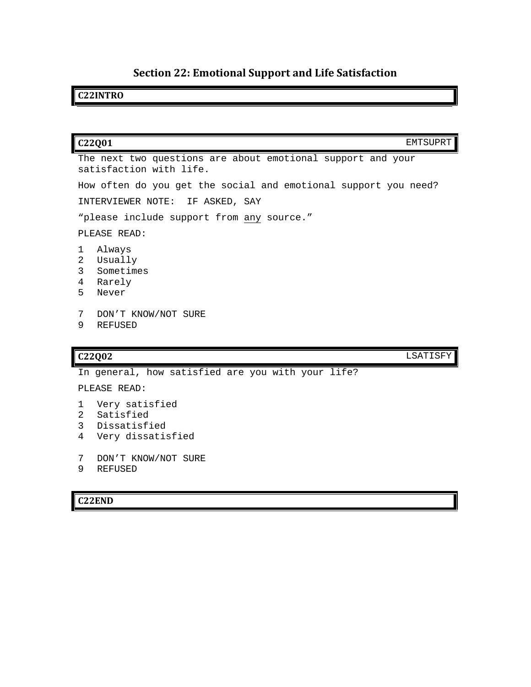# **Section 22: Emotional Support and Life Satisfaction**

## **C22INTRO**

| C22Q01                                                                                 | EMTSUPRT |
|----------------------------------------------------------------------------------------|----------|
| The next two questions are about emotional support and your<br>satisfaction with life. |          |
| How often do you get the social and emotional support you need?                        |          |
| INTERVIEWER NOTE: IF ASKED, SAY                                                        |          |
| "please include support from any source."                                              |          |
| PLEASE READ:                                                                           |          |
| Always<br>1<br>Usually<br>2<br>3<br>Sometimes<br>Rarely<br>4<br>5<br>Never             |          |
| 7<br>DON'T KNOW/NOT SURE<br>9<br><b>REFUSED</b>                                        |          |
|                                                                                        |          |
| C22Q02                                                                                 | LSATISFY |
| In general, how satisfied are you with your life?                                      |          |
| PLEASE READ:                                                                           |          |
| Very satisfied<br>ı<br>Satisfied<br>2<br>3<br>Dissatisfied                             |          |

- 4 Very dissatisfied
- 7 DON'T KNOW/NOT SURE
- 9 REFUSED

## **C22END**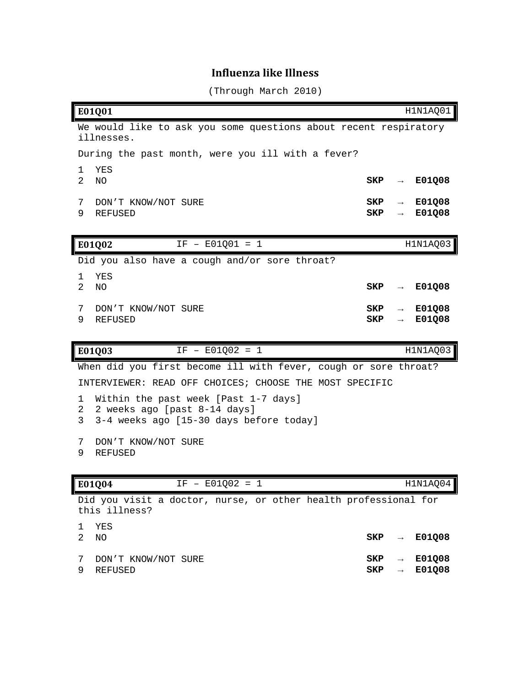# **Influenza like Illness**

(Through March 2010)

|             | E01Q01                                                                                                          |            |                                    | H1N1AQ01         |
|-------------|-----------------------------------------------------------------------------------------------------------------|------------|------------------------------------|------------------|
|             | We would like to ask you some questions about recent respiratory                                                |            |                                    |                  |
|             | illnesses.<br>During the past month, were you ill with a fever?                                                 |            |                                    |                  |
| 1           | YES                                                                                                             |            |                                    |                  |
| 2           | N <sub>O</sub>                                                                                                  | SKP        | $\rightarrow$                      | E01Q08           |
| 7<br>9      | DON'T KNOW/NOT SURE<br><b>REFUSED</b>                                                                           | SKP<br>SKP | $\rightarrow$<br>$\rightarrow$     | E01Q08<br>E01Q08 |
|             |                                                                                                                 |            |                                    |                  |
|             | $IF - E01Q01 = 1$<br>E01Q02                                                                                     |            |                                    | H1N1AQ03         |
|             | Did you also have a cough and/or sore throat?                                                                   |            |                                    |                  |
| 1.<br>2     | <b>YES</b><br>N <sub>O</sub>                                                                                    | SKP        | $\rightarrow$                      | E01Q08           |
| 7<br>9      | DON'T KNOW/NOT SURE<br><b>REFUSED</b>                                                                           | SKP<br>SKP | $\rightarrow$<br>$\longrightarrow$ | E01Q08<br>E01Q08 |
|             |                                                                                                                 |            |                                    |                  |
|             | E01Q03<br>$IF - E01Q02 = 1$                                                                                     |            |                                    | H1N1AQ03         |
|             | When did you first become ill with fever, cough or sore throat?                                                 |            |                                    |                  |
|             | INTERVIEWER: READ OFF CHOICES; CHOOSE THE MOST SPECIFIC                                                         |            |                                    |                  |
| 1<br>2<br>3 | Within the past week [Past 1-7 days]<br>2 weeks ago [past 8-14 days]<br>3-4 weeks ago [15-30 days before today] |            |                                    |                  |
| 7<br>9      | DON'T KNOW/NOT SURE<br><b>REFUSED</b>                                                                           |            |                                    |                  |
|             | $IF - E01Q02 = 1$                                                                                               |            |                                    |                  |
|             | E01Q04<br>Did you visit a doctor, nurse, or other health professional for<br>this illness?                      |            |                                    | H1N1AQ04         |
| 1<br>2      | YES<br>NO                                                                                                       | SKP        |                                    | E01Q08           |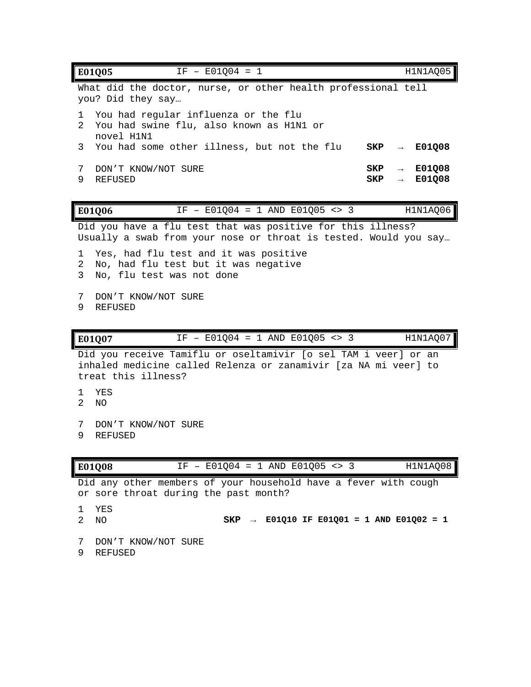| $IF - E01Q04 = 1$<br>E01Q05                                                                                                                               | H1N1AQ05                          |
|-----------------------------------------------------------------------------------------------------------------------------------------------------------|-----------------------------------|
| What did the doctor, nurse, or other health professional tell<br>you? Did they say                                                                        |                                   |
| You had regular influenza or the flu<br>1<br>2<br>You had swine flu, also known as H1N1 or                                                                |                                   |
| novel H1N1<br>You had some other illness, but not the flu<br>3<br>SKP                                                                                     | E01Q08                            |
| SKP<br>7<br>DON'T KNOW/NOT SURE<br>9<br><b>REFUSED</b><br>SKP                                                                                             | E01Q08<br>$\rightarrow$<br>E01Q08 |
| IF - $E01004 = 1$ AND $E01005 \leq 3$<br>E01Q06                                                                                                           | H1N1AQ06                          |
| Did you have a flu test that was positive for this illness?<br>Usually a swab from your nose or throat is tested. Would you say                           |                                   |
| Yes, had flu test and it was positive<br>1<br>2<br>No, had flu test but it was negative<br>3<br>No, flu test was not done                                 |                                   |
| DON'T KNOW/NOT SURE<br>7<br>9<br><b>REFUSED</b>                                                                                                           |                                   |
| IF - $E01Q04 = 1$ AND $E01Q05 \leq 3$<br>E01Q07                                                                                                           | H1N1AQ07                          |
| Did you receive Tamiflu or oseltamivir [o sel TAM i veer] or an<br>inhaled medicine called Relenza or zanamivir [za NA mi veer] to<br>treat this illness? |                                   |
| YES<br>1<br>$\mathcal{L}$<br>NO.                                                                                                                          |                                   |
| 7<br>DON'T KNOW/NOT SURE<br>9<br><b>REFUSED</b>                                                                                                           |                                   |
| IF - E01Q04 = 1 AND E01Q05 <> 3<br>E01Q08                                                                                                                 | H1N1AQ08                          |

Did any other members of your household have a fever with cough or sore throat during the past month?

- 1 YES<br>2 NO
- 

2 NO **SKP → E01Q10 IF E01Q01 = 1 AND E01Q02 = 1**

- 7 DON'T KNOW/NOT SURE
- 9 REFUSED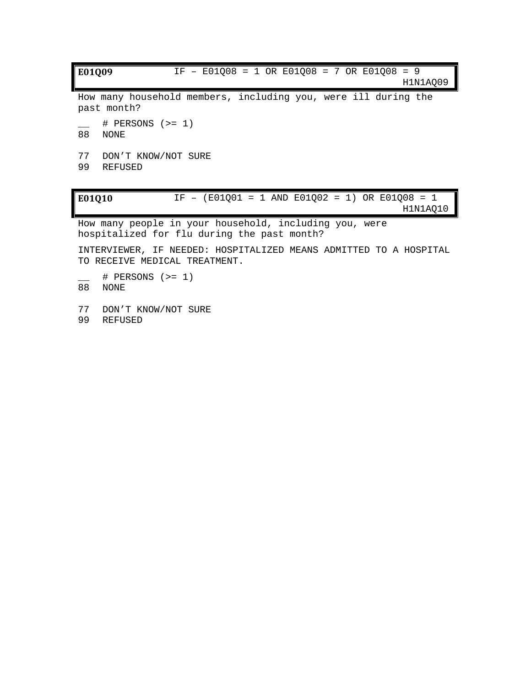**E01Q09** IF – E01Q08 = 1 OR E01Q08 = 7 OR E01Q08 = 9 H1N1AQ09 How many household members, including you, were ill during the past month? \_\_ # PERSONS (>= 1) 88 NONE 77 DON'T KNOW/NOT SURE 99 REFUSED **E01Q10** IF – (E01Q01 = 1 AND E01Q02 = 1) OR E01Q08 = 1 H1N1AQ10 How many people in your household, including you, were hospitalized for flu during the past month? INTERVIEWER, IF NEEDED: HOSPITALIZED MEANS ADMITTED TO A HOSPITAL TO RECEIVE MEDICAL TREATMENT. \_\_ # PERSONS (>= 1) 88 NONE

77 DON'T KNOW/NOT SURE 99 REFUSED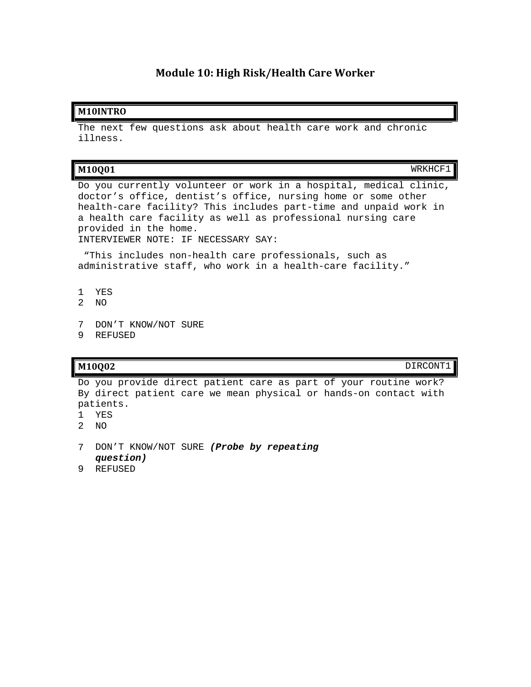## **Module 10: High Risk/Health Care Worker**

### **M10INTRO**

The next few questions ask about health care work and chronic illness.

| M10Q01 |  | <b>__</b><br>. |
|--------|--|----------------|
|        |  |                |
|        |  |                |

Do you currently volunteer or work in a hospital, medical clinic, doctor's office, dentist's office, nursing home or some other health-care facility? This includes part-time and unpaid work in a health care facility as well as professional nursing care provided in the home. INTERVIEWER NOTE: IF NECESSARY SAY:

"This includes non-health care professionals, such as administrative staff, who work in a health-care facility."

- 1 YES
- 2 NO
- 7 DON'T KNOW/NOT SURE
- 9 REFUSED

### **M10Q02** DIRCONT1

Do you provide direct patient care as part of your routine work? By direct patient care we mean physical or hands-on contact with patients.

- 1 YES
- 2 NO
- 7 DON'T KNOW/NOT SURE *(Probe by repeating question)*
- 9 REFUSED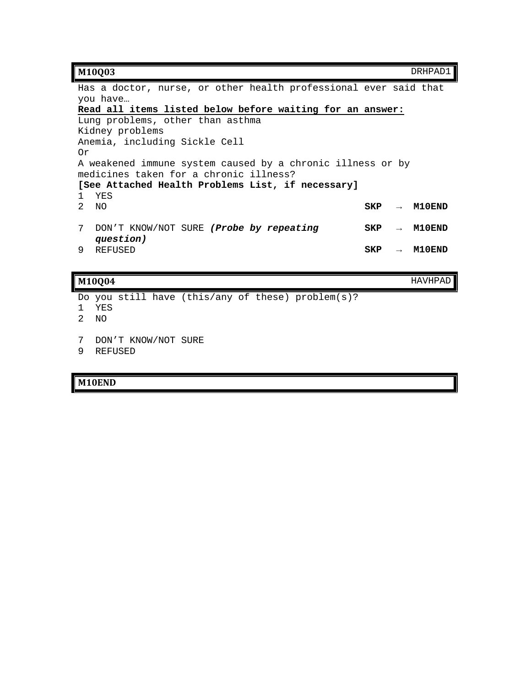### **M10Q03** DRHPAD1

Has a doctor, nurse, or other health professional ever said that you have… **Read all items listed below before waiting for an answer:**  Lung problems, other than asthma Kidney problems Anemia, including Sickle Cell Or A weakened immune system caused by a chronic illness or by medicines taken for a chronic illness? **[See Attached Health Problems List, if necessary]** 1 YES<br>2 NO 2 NO **SKP → M10END** 7 DON'T KNOW/NOT SURE *(Probe by repeating question)* **SKP → M10END** 9 REFUSED **SKP → M10END**

### **M10Q04** HAVHPAD

Do you still have (this/any of these) problem(s)?

- 1 YES
- 2 NO
- 7 DON'T KNOW/NOT SURE
- 9 REFUSED

### **M10END**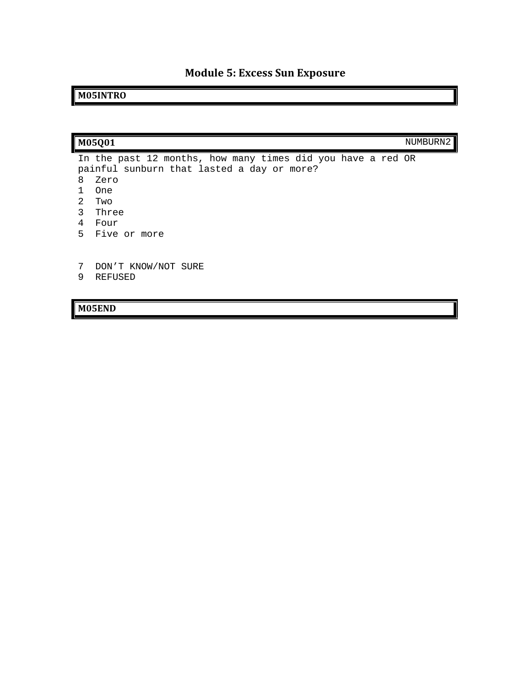# **Module 5: Excess Sun Exposure**

# **M05INTRO**

|             | M05Q01                                                                                                                   | NUMBURN2 |
|-------------|--------------------------------------------------------------------------------------------------------------------------|----------|
| 8           | In the past 12 months, how many times did you have a red OR<br>painful sunburn that lasted a day or more?<br>Zero<br>One |          |
| 2<br>3<br>4 | Two<br>Three<br>Four<br>5 Five or more                                                                                   |          |
| 7           | DON'T KNOW/NOT SURE<br>--------                                                                                          |          |

9 REFUSED

**M05END**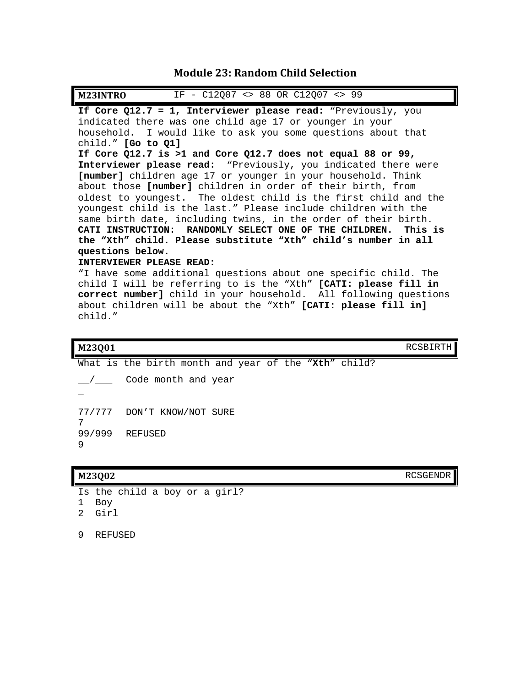# **Module 23: Random Child Selection**

| IF - C12Q07 <> 88 OR C12Q07 <> 99<br><b>M23INTRO</b>             |
|------------------------------------------------------------------|
| If Core Q12.7 = 1, Interviewer please read: "Previously, you     |
| indicated there was one child age 17 or younger in your          |
| household. I would like to ask you some questions about that     |
| child." [Go to 01]                                               |
| If Core $Q12.7$ is >1 and Core $Q12.7$ does not equal 88 or 99,  |
| Interviewer please read: "Previously, you indicated there were   |
| [number] children age 17 or younger in your household. Think     |
| about those [number] children in order of their birth, from      |
| oldest to youngest. The oldest child is the first child and the  |
| youngest child is the last." Please include children with the    |
| same birth date, including twins, in the order of their birth.   |
| CATI INSTRUCTION: RANDOMLY SELECT ONE OF THE CHILDREN. This is   |
| the "Xth" child. Please substitute "Xth" child's number in all   |
| questions below.                                                 |
| INTERVIEWER PLEASE READ:                                         |
| "I have some additional questions about one specific child. The  |
| child I will be referring to is the "Xth" [CATI: please fill in  |
| correct number] child in your household. All following questions |
| about children will be about the "Xth" [CATI: please fill in]    |
| child."                                                          |

**M23Q01** RCSBIRTH

|                | What is the birth month and year of the "Xth" child? |
|----------------|------------------------------------------------------|
| $\overline{1}$ | Code month and year                                  |
|                |                                                      |
|                | 77/777 DON'T KNOW/NOT SURE                           |
| 9              | 99/999 REFUSED                                       |

**M23Q02** RCSGENDR

Is the child a boy or a girl? 1 Boy 2 Girl 9 REFUSED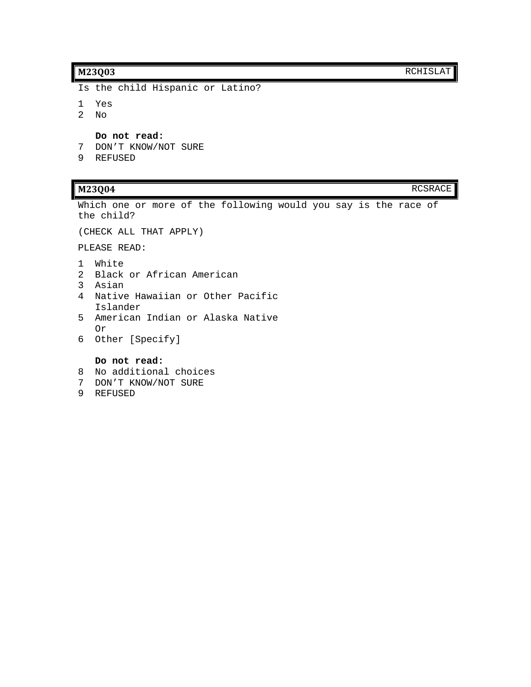Is the child Hispanic or Latino?

- 1 Yes
- 2 No

**Do not read:**

- 7 DON'T KNOW/NOT SURE
- 9 REFUSED

Which one or more of the following would you say is the race of the child?

(CHECK ALL THAT APPLY)

PLEASE READ:

- 1 White
- 2 Black or African American
- 3 Asian
- 4 Native Hawaiian or Other Pacific Islander
- 5 American Indian or Alaska Native Or
- 6 Other [Specify]

### **Do not read:**

- 8 No additional choices
- 7 DON'T KNOW/NOT SURE
- 9 REFUSED

**M23Q04** RCSRACE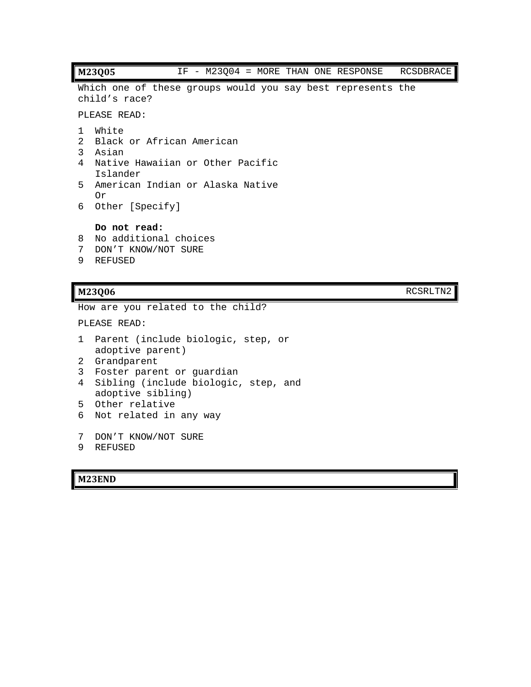### **M23Q05** IF - M23Q04 = MORE THAN ONE RESPONSE RCSDBRACE

Which one of these groups would you say best represents the child's race?

PLEASE READ:

- 1 White
- 2 Black or African American
- 3 Asian
- 4 Native Hawaiian or Other Pacific Islander
- 5 American Indian or Alaska Native Or
- 6 Other [Specify]

**Do not read:**

- 8 No additional choices
- 7 DON'T KNOW/NOT SURE
- 9 REFUSED

### **M23Q06** RCSRLTN2

How are you related to the child?

```
PLEASE READ:
```
- 1 Parent (include biologic, step, or adoptive parent)
- 2 Grandparent
- 3 Foster parent or guardian
- 4 Sibling (include biologic, step, and adoptive sibling)
- 5 Other relative
- 6 Not related in any way
- 7 DON'T KNOW/NOT SURE
- 9 REFUSED

### **M23END**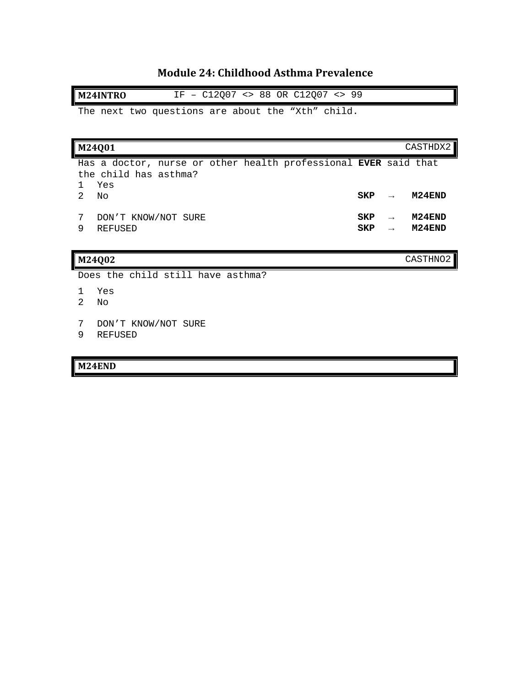# **Module 24: Childhood Asthma Prevalence**

**M24INTRO** IF – C12Q07 <> 88 OR C12Q07 <> 99

The next two questions are about the "Xth" child.

| M24Q01                                                                                          |                   |                                | CASTHDX2         |
|-------------------------------------------------------------------------------------------------|-------------------|--------------------------------|------------------|
| Has a doctor, nurse or other health professional EVER said that<br>the child has asthma?<br>Yes |                   |                                |                  |
| $\mathfrak{D}$<br>No                                                                            | SKP               | $\rightarrow$                  | M24END           |
| 7<br>DON'T KNOW/NOT SURE<br>9<br><b>REFUSED</b>                                                 | SKP<br><b>SKP</b> | $\rightarrow$<br>$\rightarrow$ | M24END<br>M24END |
| M24Q02                                                                                          |                   |                                | CASTHNO2         |
| Does the child still have asthma?                                                               |                   |                                |                  |
| Yes<br>$\mathcal{D}$<br>No                                                                      |                   |                                |                  |

- 7 DON'T KNOW/NOT SURE
- 9 REFUSED

## **M24END**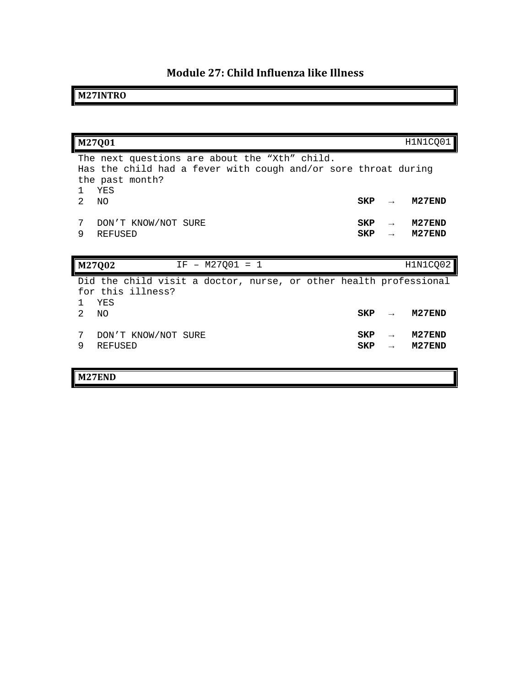# **Module 27: Child Influenza like Illness**

# **M27INTRO**

|                | M27Q01                                                                                                                                    |            |                                | H1N1CQ01         |
|----------------|-------------------------------------------------------------------------------------------------------------------------------------------|------------|--------------------------------|------------------|
| -1             | The next questions are about the "Xth" child.<br>Has the child had a fever with cough and/or sore throat during<br>the past month?<br>YES |            |                                |                  |
| 2              | NO.                                                                                                                                       | <b>SKP</b> |                                | M27END           |
| 7<br>9         | DON'T KNOW/NOT SURE<br><b>REFUSED</b>                                                                                                     | SKP<br>SKP | $\rightarrow$<br>$\rightarrow$ | M27END<br>M27END |
|                |                                                                                                                                           |            |                                |                  |
|                | M27Q02<br>$IF - M27Q01 = 1$                                                                                                               |            |                                | H1N1CQ02         |
|                | Did the child visit a doctor, nurse, or other health professional<br>for this illness?<br>YES                                             |            |                                |                  |
| $\mathfrak{D}$ | ΝO                                                                                                                                        | <b>SKP</b> |                                | M27END           |
| 7              | DON'T KNOW/NOT SURE                                                                                                                       | <b>SKP</b> | $\rightarrow$                  | M27END           |
| 9              | <b>REFUSED</b>                                                                                                                            | SKP        | $\rightarrow$                  | M27END           |

# **M27END**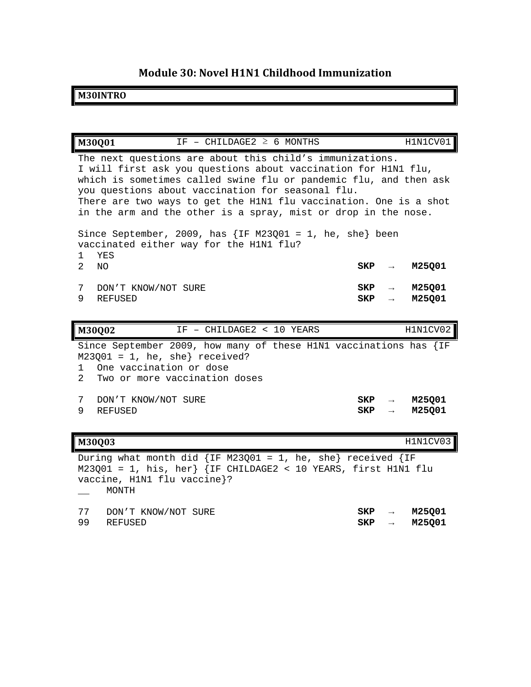# **Module 30: Novel H1N1 Childhood Immunization**

### **M30INTRO**

|                             | IF - CHILDAGE2 $\geq$ 6 MONTHS<br>M30001                                                                                                                                                                                                                                                                                                                                                    |            |                                | H1N1CV01         |  |  |  |
|-----------------------------|---------------------------------------------------------------------------------------------------------------------------------------------------------------------------------------------------------------------------------------------------------------------------------------------------------------------------------------------------------------------------------------------|------------|--------------------------------|------------------|--|--|--|
|                             | The next questions are about this child's immunizations.<br>I will first ask you questions about vaccination for H1N1 flu,<br>which is sometimes called swine flu or pandemic flu, and then ask<br>you questions about vaccination for seasonal flu.<br>There are two ways to get the H1N1 flu vaccination. One is a shot<br>in the arm and the other is a spray, mist or drop in the nose. |            |                                |                  |  |  |  |
| 1<br>2.                     | Since September, 2009, has $\{IF M23Q01 = 1, he, she\}$ been<br>vaccinated either way for the H1N1 flu?<br>YES<br>NO.                                                                                                                                                                                                                                                                       | SKP        | $\rightarrow$                  | M25001           |  |  |  |
| 7<br>9                      | DON'T KNOW/NOT SURE<br><b>REFUSED</b>                                                                                                                                                                                                                                                                                                                                                       | SKP<br>SKP | $\rightarrow$<br>$\rightarrow$ | M25001<br>M25Q01 |  |  |  |
|                             | IF - CHILDAGE2 < 10 YEARS<br>M30Q02                                                                                                                                                                                                                                                                                                                                                         |            |                                | H1N1CV02         |  |  |  |
| $\mathbf{1}$<br>$2^{\circ}$ | Since September 2009, how many of these H1N1 vaccinations has $\{IF$<br>$M23Q01 = 1$ , he, she} received?<br>One vaccination or dose<br>Two or more vaccination doses                                                                                                                                                                                                                       |            |                                |                  |  |  |  |
| 7<br>9                      | DON'T KNOW/NOT SURE<br><b>REFUSED</b>                                                                                                                                                                                                                                                                                                                                                       | SKP<br>SKP | $\rightarrow$<br>$\rightarrow$ | M25001<br>M25001 |  |  |  |

# **M30Q03** H1N1CV03

During what month did  $\{IF M23Q01 = 1, he, she\} received \{IF$  $M23Q01 = 1$ , his, her}  $\{IF \ CHILDAGE2 < 10 \text{ YEARS}, \text{first HIN1} \text{ flu} \}$ vaccine, H1N1 flu vaccine}? \_\_ MONTH 77 DON'T KNOW/NOT SURE **SKP → M25Q01** 99 REFUSED **SKP → M25Q01**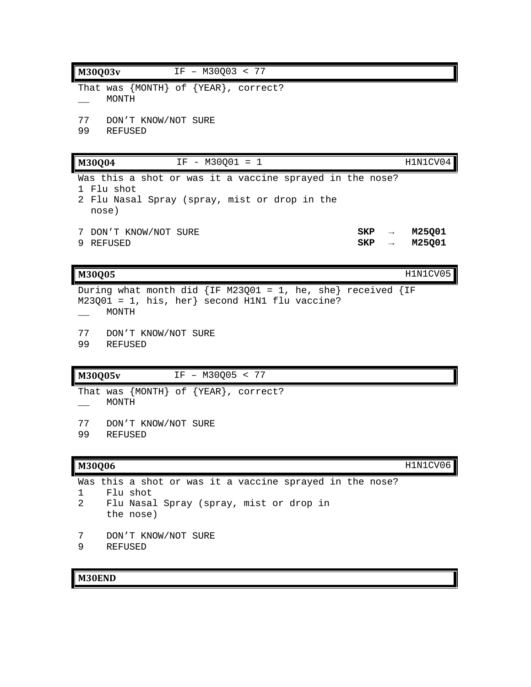| M30Q03v<br>IF - M30003 < 77                                                                                                            |            |               |                  |
|----------------------------------------------------------------------------------------------------------------------------------------|------------|---------------|------------------|
| That was ${MONTH}$ of ${YEAR}$ , correct?<br>MONTH                                                                                     |            |               |                  |
| 77 DON'T KNOW/NOT SURE<br>99 REFUSED                                                                                                   |            |               |                  |
| IF - M30Q01 = 1<br>M30Q04                                                                                                              |            |               | H1N1CV04         |
| Was this a shot or was it a vaccine sprayed in the nose?<br>1 Flu shot<br>2 Flu Nasal Spray (spray, mist or drop in the<br>nose)       |            |               |                  |
| 7 DON'T KNOW/NOT SURE<br>9 REFUSED                                                                                                     | SKP<br>SKP | $\rightarrow$ | M25Q01<br>M25Q01 |
| M30Q05                                                                                                                                 |            |               | H1N1CV05         |
| During what month did $\{IF M23Q01 = 1, he, she\} received \{IF$<br>$M23Q01 = 1$ , his, her} second H1N1 flu vaccine?<br>MONTH         |            |               |                  |
| 77 DON'T KNOW/NOT SURE<br>99<br>REFUSED                                                                                                |            |               |                  |
| <b>M30Q05v</b><br>IF - M30Q05 < 77                                                                                                     |            |               |                  |
| That was ${MONTH}$ of ${YEAR}$ , correct?<br>MONTH                                                                                     |            |               |                  |
| 77<br>DON'T KNOW/NOT SURE<br>99<br>REFUSED                                                                                             |            |               |                  |
| <b>M30Q06</b>                                                                                                                          |            |               | H1N1CV06         |
| Was this a shot or was it a vaccine sprayed in the nose?<br>Flu shot<br>1<br>2<br>Flu Nasal Spray (spray, mist or drop in<br>the nose) |            |               |                  |

- 7 DON'T KNOW/NOT SURE
- 9 REFUSED

## **M30END**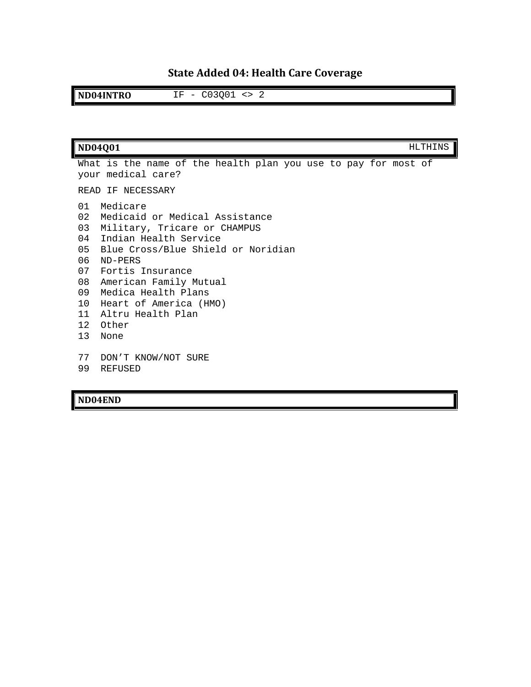# **State Added 04: Health Care Coverage**

**ND04INTRO** IF - C03Q01 <> 2

|                                                                                                      | <b>ND04Q01</b>                                                                                                                                                                                                                                                                            |  |  | <b>HLTHINS</b> |  |
|------------------------------------------------------------------------------------------------------|-------------------------------------------------------------------------------------------------------------------------------------------------------------------------------------------------------------------------------------------------------------------------------------------|--|--|----------------|--|
|                                                                                                      | What is the name of the health plan you use to pay for most of<br>your medical care?                                                                                                                                                                                                      |  |  |                |  |
|                                                                                                      | READ IF NECESSARY                                                                                                                                                                                                                                                                         |  |  |                |  |
| 01<br>02 <sub>o</sub><br>03<br>04<br>05<br>06<br>07<br>08<br>09<br>10<br>11<br>12 <sup>°</sup><br>13 | Medicare<br>Medicaid or Medical Assistance<br>Military, Tricare or CHAMPUS<br>Indian Health Service<br>Blue Cross/Blue Shield or Noridian<br>ND-PERS<br>Fortis Insurance<br>American Family Mutual<br>Medica Health Plans<br>Heart of America (HMO)<br>Altru Health Plan<br>Other<br>None |  |  |                |  |
| 77<br>99                                                                                             | DON'T KNOW/NOT SURE<br>REFUSED                                                                                                                                                                                                                                                            |  |  |                |  |

**ND04END**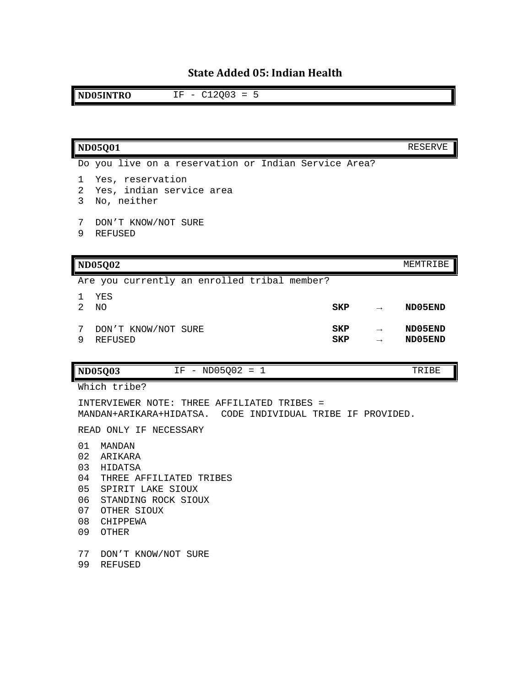# **State Added 05: Indian Health**

**ND05INTRO** IF - C12Q03 = 5

| <b>ND05Q01</b>                                                                                  | RESERVE            |
|-------------------------------------------------------------------------------------------------|--------------------|
| Do you live on a reservation or Indian Service Area?                                            |                    |
| Yes, reservation<br>1<br>Yes, indian service area<br>2<br>3<br>No, neither                      |                    |
| DON'T KNOW/NOT SURE<br>7<br>9<br><b>REFUSED</b>                                                 |                    |
| <b>ND05Q02</b>                                                                                  | MEMTRIBE           |
| Are you currently an enrolled tribal member?                                                    |                    |
| YES<br>1.<br>$\mathcal{L}$<br>SKP<br>NO.                                                        | ND05END            |
| SKP<br>7<br>DON'T KNOW/NOT SURE<br>$\rightarrow$<br>9<br><b>REFUSED</b><br>SKP<br>$\rightarrow$ | ND05END<br>ND05END |
| $IF - ND05Q02 = 1$<br><b>ND05Q03</b>                                                            | TRIBE              |

Which tribe?

INTERVIEWER NOTE: THREE AFFILIATED TRIBES = MANDAN+ARIKARA+HIDATSA. CODE INDIVIDUAL TRIBE IF PROVIDED.

READ ONLY IF NECESSARY

- MANDAN
- ARIKARA
- HIDATSA
- THREE AFFILIATED TRIBES
- SPIRIT LAKE SIOUX
- STANDING ROCK SIOUX
- OTHER SIOUX
- CHIPPEWA
- OTHER
- DON'T KNOW/NOT SURE
- REFUSED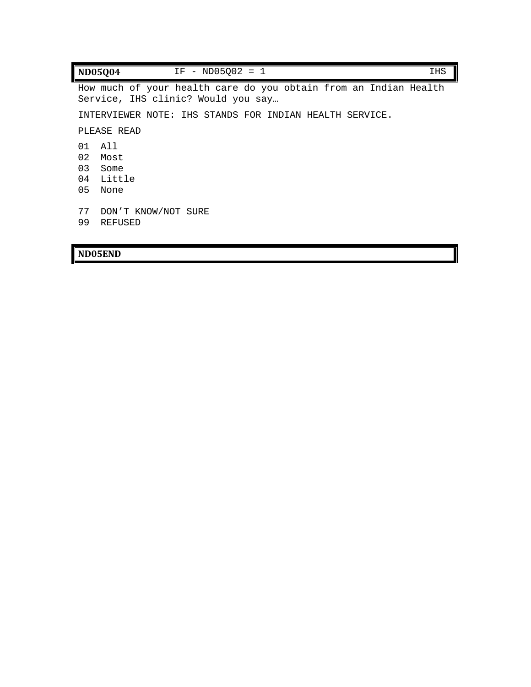| $IF - ND05002 = 1$<br><b>ND05Q04</b>                                                                   | <b>IHS</b> |
|--------------------------------------------------------------------------------------------------------|------------|
| How much of your health care do you obtain from an Indian Health<br>Service, IHS clinic? Would you say |            |
| INTERVIEWER NOTE: IHS STANDS FOR INDIAN HEALTH SERVICE.                                                |            |
| PLEASE READ                                                                                            |            |
| All<br>O 1                                                                                             |            |
| 02<br>Most                                                                                             |            |
| 03<br>Some                                                                                             |            |
| 04<br>Little                                                                                           |            |
| 05<br>None                                                                                             |            |
| 77                                                                                                     |            |
| DON'T KNOW/NOT SURE                                                                                    |            |
| 99<br><b>REFUSED</b>                                                                                   |            |

### **ND05END**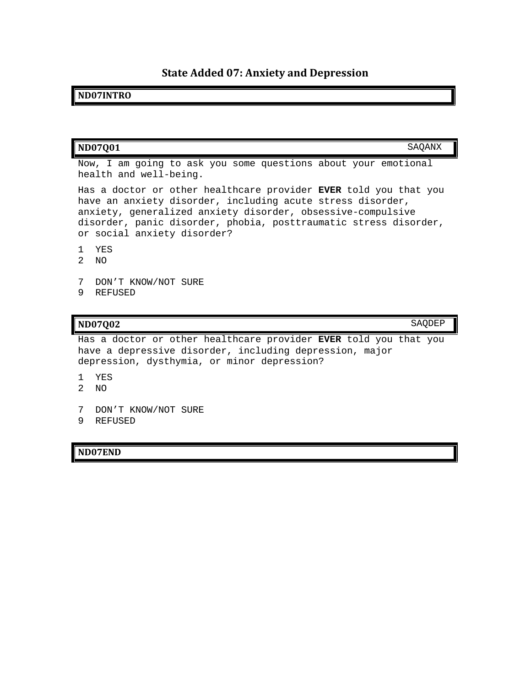# **State Added 07: Anxiety and Depression**

## **ND07INTRO**

| <b>ND07Q01</b>                                                                                                                                                                                                                                                                                   | SAQANX |
|--------------------------------------------------------------------------------------------------------------------------------------------------------------------------------------------------------------------------------------------------------------------------------------------------|--------|
| Now, I am going to ask you some questions about your emotional<br>health and well-being.                                                                                                                                                                                                         |        |
| Has a doctor or other healthcare provider EVER told you that you<br>have an anxiety disorder, including acute stress disorder,<br>anxiety, generalized anxiety disorder, obsessive-compulsive<br>disorder, panic disorder, phobia, posttraumatic stress disorder,<br>or social anxiety disorder? |        |
| YES<br>2<br>NO.                                                                                                                                                                                                                                                                                  |        |
| 7<br>DON'T KNOW/NOT SURE<br>9<br>REFUSED                                                                                                                                                                                                                                                         |        |
|                                                                                                                                                                                                                                                                                                  | SAODEF |

Has a doctor or other healthcare provider **EVER** told you that you have a depressive disorder, including depression, major depression, dysthymia, or minor depression?

- 1 YES
- 2 NO
- 7 DON'T KNOW/NOT SURE
- 9 REFUSED

#### **ND07END**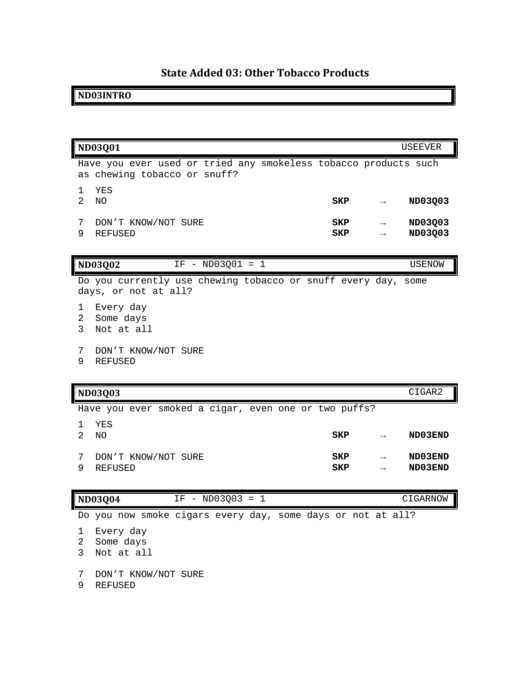# **State Added 03: Other Tobacco Products**

## **ND03INTRO**

|                          | <b>ND03Q01</b>                                                                                  |                   |               | USEEVER            |
|--------------------------|-------------------------------------------------------------------------------------------------|-------------------|---------------|--------------------|
|                          | Have you ever used or tried any smokeless tobacco products such<br>as chewing tobacco or snuff? |                   |               |                    |
| 1<br>$\overline{2}$      | YES<br>N <sub>O</sub>                                                                           | <b>SKP</b>        |               | ND03Q03            |
| 7<br>9                   | DON'T KNOW/NOT SURE<br><b>REFUSED</b>                                                           | SKP<br><b>SKP</b> |               | ND03Q03<br>ND03Q03 |
|                          | $IF - ND03Q01 = 1$<br><b>ND03Q02</b>                                                            |                   |               | USENOW             |
|                          | Do you currently use chewing tobacco or snuff every day,<br>days, or not at all?                |                   |               | some               |
| ı<br>$\overline{2}$<br>3 | Every day<br>Some days<br>Not at all                                                            |                   |               |                    |
| 7<br>9                   | DON'T KNOW/NOT SURE<br><b>REFUSED</b>                                                           |                   |               |                    |
|                          | <b>ND03Q03</b>                                                                                  |                   |               | CIGAR2             |
|                          | Have you ever smoked a cigar, even one or two puffs?                                            |                   |               |                    |
| 1<br>$\overline{2}$      | YES<br>N <sub>O</sub>                                                                           | <b>SKP</b>        |               | ND03END            |
| 7<br>9                   | DON'T KNOW/NOT SURE<br><b>REFUSED</b>                                                           | SKP<br>SKP        | $\rightarrow$ | ND03END<br>ND03END |
|                          | <b>ND03Q04</b><br>$IF - ND03Q03 = 1$                                                            |                   |               | CIGARNOW           |
|                          | Do you now smoke cigars every day, some days or not at all?                                     |                   |               |                    |
| ı<br>$\overline{2}$<br>3 | Every day<br>Some days<br>Not at all                                                            |                   |               |                    |
| 7<br>9                   | DON'T KNOW/NOT SURE<br>REFUSED                                                                  |                   |               |                    |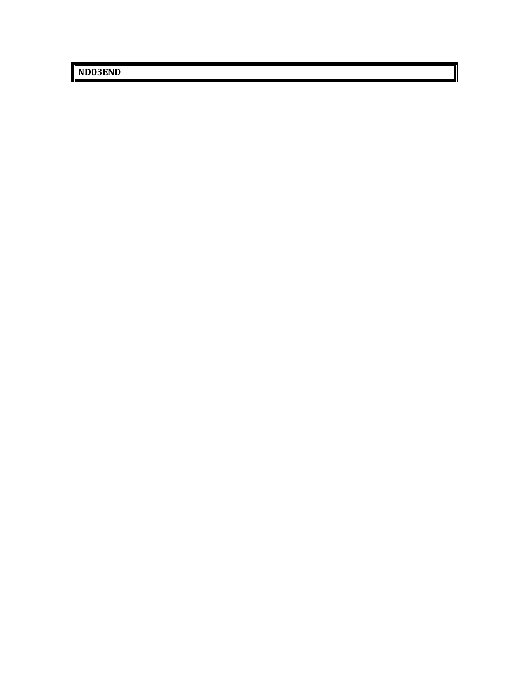**ND03END**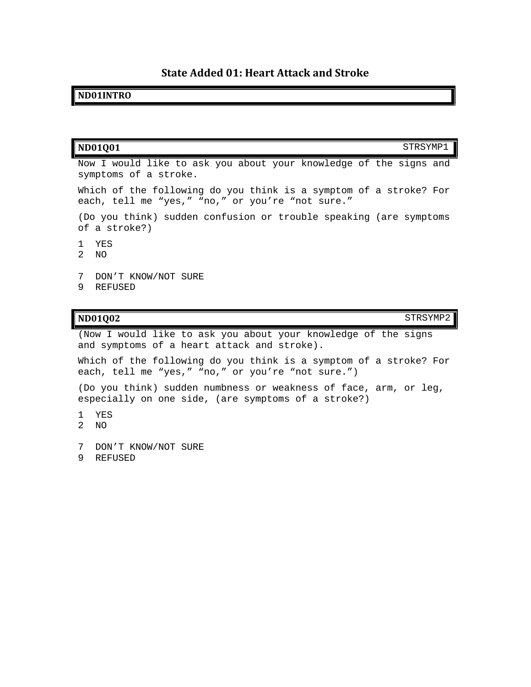## **State Added 01: Heart Attack and Stroke**

#### **ND01INTRO**

| <b>ND01Q01</b><br>STRSYMP1                                                                                            |
|-----------------------------------------------------------------------------------------------------------------------|
| Now I would like to ask you about your knowledge of the signs and<br>symptoms of a stroke.                            |
| Which of the following do you think is a symptom of a stroke? For<br>each, tell me "yes," "no," or you're "not sure." |
| (Do you think) sudden confusion or trouble speaking (are symptoms<br>of a stroke?)                                    |
| YE.S<br>2 NO                                                                                                          |
| 7<br>DON'T KNOW/NOT SURE<br>9<br>REFUSED                                                                              |

#### **ND01Q02** STRSYMP2

(Now I would like to ask you about your knowledge of the signs and symptoms of a heart attack and stroke).

Which of the following do you think is a symptom of a stroke? For each, tell me "yes," "no," or you're "not sure.")

(Do you think) sudden numbness or weakness of face, arm, or leg, especially on one side, (are symptoms of a stroke?)

- 1 YES
- 2 NO

7 DON'T KNOW/NOT SURE

9 REFUSED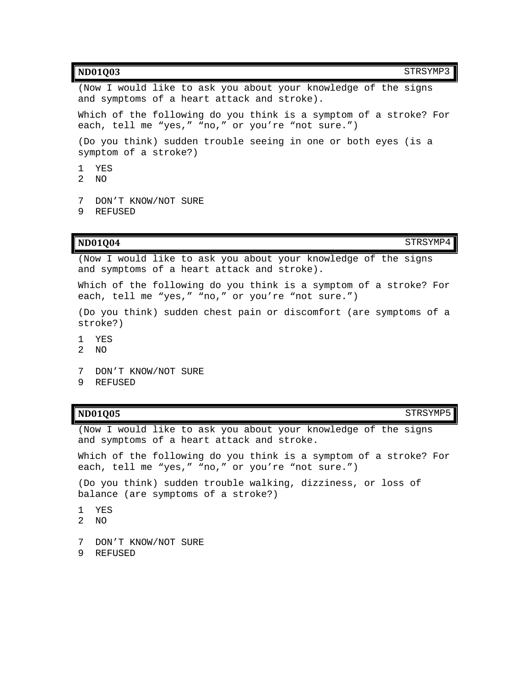| STRSYMP3<br>ND01Q03                                                                                                    |
|------------------------------------------------------------------------------------------------------------------------|
| (Now I would like to ask you about your knowledge of the signs<br>and symptoms of a heart attack and stroke).          |
| Which of the following do you think is a symptom of a stroke? For<br>each, tell me "yes," "no," or you're "not sure.") |
| (Do you think) sudden trouble seeing in one or both eyes (is a<br>symptom of a stroke?)                                |

- 1 YES
- 2 NO
- 7 DON'T KNOW/NOT SURE
- 9 REFUSED

#### **ND01Q04** STRSYMP4

(Now I would like to ask you about your knowledge of the signs and symptoms of a heart attack and stroke).

Which of the following do you think is a symptom of a stroke? For each, tell me "yes," "no," or you're "not sure.")

(Do you think) sudden chest pain or discomfort (are symptoms of a stroke?)

- 1 YES
- 2 NO
- 7 DON'T KNOW/NOT SURE
- 9 REFUSED

#### **ND01Q05** STRSYMP5

(Now I would like to ask you about your knowledge of the signs and symptoms of a heart attack and stroke.

Which of the following do you think is a symptom of a stroke? For each, tell me "yes," "no," or you're "not sure.")

(Do you think) sudden trouble walking, dizziness, or loss of balance (are symptoms of a stroke?)

- 1 YES
- 2 NO
- 7 DON'T KNOW/NOT SURE
- 9 REFUSED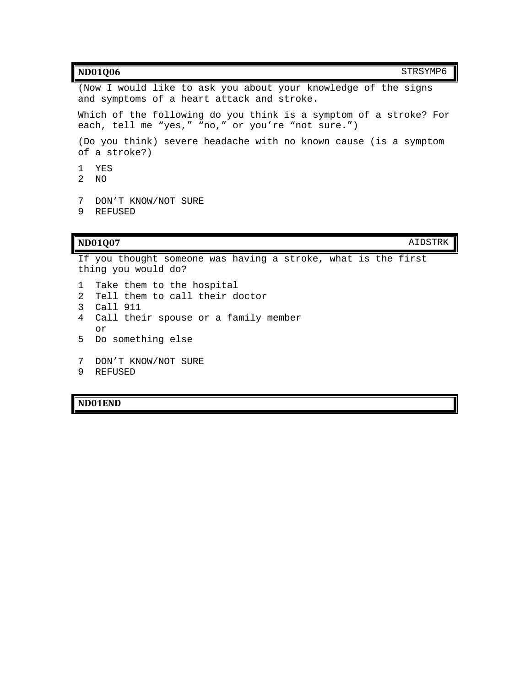#### **ND01Q06** STRSYMP6

(Now I would like to ask you about your knowledge of the signs and symptoms of a heart attack and stroke.

Which of the following do you think is a symptom of a stroke? For each, tell me "yes," "no," or you're "not sure.")

(Do you think) severe headache with no known cause (is a symptom of a stroke?)

- 1 YES
- 2 NO
- 7 DON'T KNOW/NOT SURE
- 9 REFUSED

#### **ND01Q07** AIDSTRK

If you thought someone was having a stroke, what is the first thing you would do? 1 Take them to the hospital 2 Tell them to call their doctor

3 Call 911

4 Call their spouse or a family member or

- 5 Do something else
- 7 DON'T KNOW/NOT SURE
- 9 REFUSED

#### **ND01END**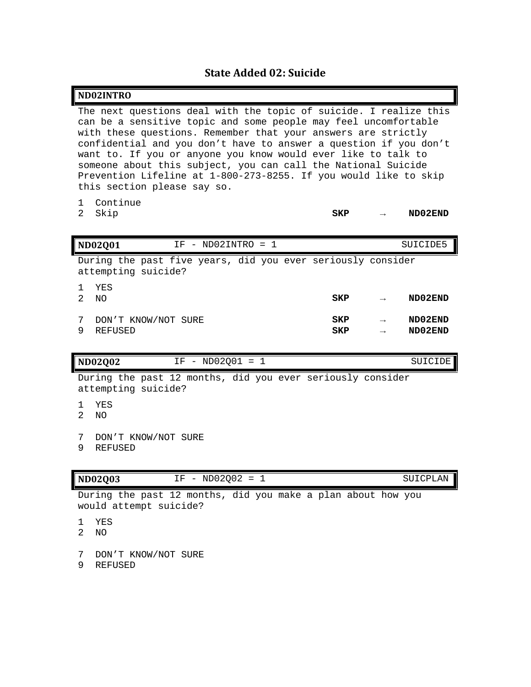## **State Added 02: Suicide**

|                      | ND02INTRO                                                                                                                                                                                                                                                                                                                                                                                                                                                                                                       |                   |                    |
|----------------------|-----------------------------------------------------------------------------------------------------------------------------------------------------------------------------------------------------------------------------------------------------------------------------------------------------------------------------------------------------------------------------------------------------------------------------------------------------------------------------------------------------------------|-------------------|--------------------|
|                      | The next questions deal with the topic of suicide. I realize this<br>can be a sensitive topic and some people may feel uncomfortable<br>with these questions. Remember that your answers are strictly<br>confidential and you don't have to answer a question if you don't<br>want to. If you or anyone you know would ever like to talk to<br>someone about this subject, you can call the National Suicide<br>Prevention Lifeline at 1-800-273-8255. If you would like to skip<br>this section please say so. |                   |                    |
| 1.<br>$\mathfrak{D}$ | Continue<br>Skip                                                                                                                                                                                                                                                                                                                                                                                                                                                                                                | SKP               | ND02END            |
|                      | <b>ND02Q01</b><br>$IF - NDO2INTRO = 1$                                                                                                                                                                                                                                                                                                                                                                                                                                                                          |                   | SUICIDE5           |
|                      | During the past five years, did you ever seriously consider<br>attempting suicide?                                                                                                                                                                                                                                                                                                                                                                                                                              |                   |                    |
| 1<br>2               | YES<br><b>NO</b>                                                                                                                                                                                                                                                                                                                                                                                                                                                                                                | <b>SKP</b>        | ND02END            |
| 7<br>9               | DON'T KNOW/NOT SURE<br><b>REFUSED</b>                                                                                                                                                                                                                                                                                                                                                                                                                                                                           | SKP<br><b>SKP</b> | ND02END<br>ND02END |
|                      | $IF - ND02001 = 1$<br><b>ND02Q02</b>                                                                                                                                                                                                                                                                                                                                                                                                                                                                            |                   | SUICIDE            |
|                      | During the past 12 months, did you ever seriously consider<br>attempting suicide?                                                                                                                                                                                                                                                                                                                                                                                                                               |                   |                    |
| 1<br>$\overline{2}$  | YES<br><b>NO</b>                                                                                                                                                                                                                                                                                                                                                                                                                                                                                                |                   |                    |
| 7<br>9               | DON'T KNOW/NOT SURE<br><b>REFUSED</b>                                                                                                                                                                                                                                                                                                                                                                                                                                                                           |                   |                    |
|                      | $IF - ND02Q02 = 1$<br><b>ND02Q03</b>                                                                                                                                                                                                                                                                                                                                                                                                                                                                            |                   | SUICPLAN           |

During the past 12 months, did you make a plan about how you would attempt suicide?

1 YES

2 NO

7 DON'T KNOW/NOT SURE

9 REFUSED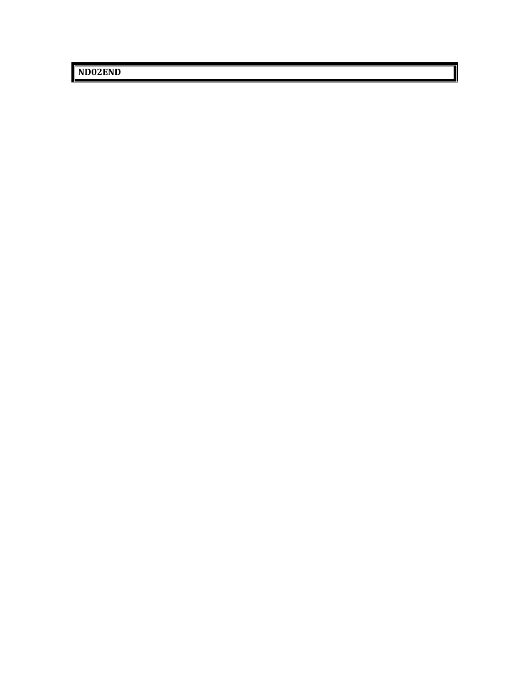**ND02END**